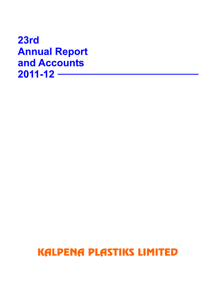23rd **Annual Report** and Accounts  $2011 - 12$  –––

# **KALPENA PLASTIKS LIMITED**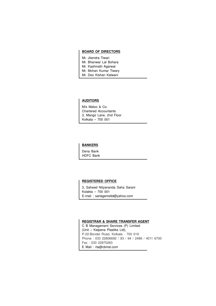#### **BOARD OF DIRECTORS**

- Mr. Jitendra Tiwari
- Mr. Bhanwar Lal Bohara
- Mr. Kashinath Agarwal
- Mr. Mohan Kumar Tiwary
- Mr. Deo Kishan Kalwani

#### **AUDITORS**

M/s Maloo & Co. Chartered Accountants 3, Mango Lane, 2nd Floor Kolkata – 700 001

#### **BANKERS**

Dena Bank HDFC Bank

#### **REGISTERED OFFICE**

3, Saheed Nityananda Saha Sarani Kolakta – 700 001 E-mail : sarlagemsltd@yahoo.com

#### **REGISTRAR & SHARE TRANSFER AGENT**

C B Management Services (P) Limited (Unit – Kalpena Plastiks Ltd), P-22-Bondel Road, Kolkata - 700 019 Phone : 033 22806692 / 93 / 94 / 2486 / 4011 6700 Fax : 033 22870263 E Mail : rta@cbmsl.com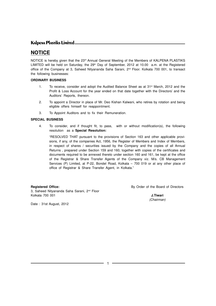### **KALDENA PLASTIKS LIMITED.**

# **NOTICE**

NOTICE is hereby given that the 23<sup>rd</sup> Annual General Meeting of the Members of KALPENA PLASTIKS LIMITED will be held on Saturday, the 29<sup>th</sup> Day of September, 2012 at 10.00 a.m. at the Registered office of the Company at 3, Saheed Nityananda Saha Sarani, 2<sup>nd</sup> Floor. Kolkata 700 001, to transact the following businesses:

#### **ORDINARY BUSINESS**

- 1. To receive, consider and adopt the Audited Balance Sheet as at 31<sup>st</sup> March, 2012 and the Profit & Loss Account for the year ended on that date together with the Directors' and the Auditors' Reports, thereon.
- 2. To appoint a Director in place of Mr. Deo Kishan Kalwani, who retires by rotation and being eligible offers himself for reappointment.
- 3. To Appoint Auditors and to fix their Remuneration.

#### **SPECIAL BUSINESS**

4. To consider, and if thought fit, to pass, with or without modification(s), the following resolution as a **Special Resolution:**

"RESOLVED THAT pursuant to the provisions of Section 163 and other applicable provisions, if any, of the companies Act, 1956, the Register of Members and Index of Members, in respect of shares / securities issued by the Company and the copies of all Annual Returns , prepared under Section 159 and 160, together with copies of the certificates and documents required to be annexed thereto under section 160 and 161, be kept at the office of the Registrar & Share Transfer Agents of the Company viz. M/s. CB Management Services (P) Limited, at P-22, Bondel Road, Kolkata – 700 019 or at any other place of office of Registrar & Share Transfer Agent, in Kolkata."

3, Saheed Nityananda Saha Sarani, 2<sup>nd</sup> Floor Kolkata 700 001 **J.Tiwari**

**Registered Office:** and **Registered Office: By Order of the Board of Directors** 

(Chairman)

Date : 31st August, 2012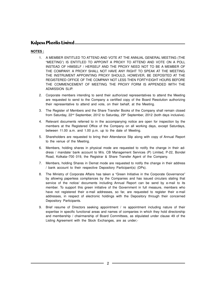#### **NOTES :**

- 1. A MEMBER ENTITLED TO ATTEND AND VOTE AT THE ANNUAL GENERAL MEETING (THE "MEETING") IS ENTITLED TO APPOINT A PROXY TO ATTEND AND VOTE ON A POLL INSTEAD OF HIMSELF / HERSELF AND THE PROXY NEED NOT TO BE A MEMBER OF THE COMPANY. A PROXY SHALL NOT HAVE ANY RIGHT TO SPEAK AT THE MEETING. THE INSTRUMENT APPOINTING PROXY SHOULD, HOWEVER, BE DEPOSITED AT THE REGISTERED OFFICE OF THE COMPANY NOT LESS THEN FORTY-EIGHT HOURS BEFORE THE COMMENCEMENT OF MEETING. THE PROXY FORM IS APPENDED WITH THE ADMISSION SLIP.
- 2. Corporate members intending to send their authorized representatives to attend the Meeting are requested to send to the Company a certified copy of the Board Resolution authorizing their representative to attend and vote, on their behalf, at the Meeting.
- 3. The Register of Members and the Share Transfer Books of the Company shall remain closed from Saturday,  $22<sup>nd</sup>$  September, 2012 to Saturday,  $29<sup>th</sup>$  September, 2012 (both days inclusive).
- 4. Relevant documents referred to in the accompanying notice are open for inspection by the members at the Registered Office of the Company on all working days, except Saturdays, between 11.00 a.m. and 1.00 p.m. up to the date of Meeting.
- 5. Shareholders are requested to bring their Attendance Slip along with copy of Annual Report to the venue of the Meeting.
- 6. Members, holding shares in physical mode are requested to notify the change in their address / mandate/ bank account to M/s. CB Management Services (P) Limited, P-22, Bondel Road, Kolkata–700 019, the Registrar & Share Transfer Agent of the Company.
- 7. Members, holding Shares in Demat mode are requested to notify the change in their address / bank account to their respective Depository Participant(s) (DPs).
- 8. The Ministry of Corporate Affairs has taken a "Green Initiative in the Corporate Governance" by allowing paperless compliances by the Companies and has issued circulars stating that service of the notice/ documents including Annual Report can be send by e-mail to its member. To support this green initiative of the Government in full measure, members who have not registered their e-mail addresses, so far, are requested to register their e-mail addresses, in respect of electronic holdings with the Depository through their concerned Depository Participants.
- 9. Brief resume of Directors seeking appointment / re appointment including nature of their expertise in specific functional areas and names of companies in which they hold directorship and membership / chairmanship of Board Committees, as stipulated under clause 49 of the Listing Agreement with the Stock Exchanges, are as under;-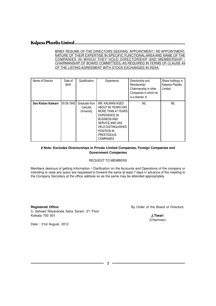#### BRIEF RESUME OF THE DIRECTORS SEEKING APPOINTMENT / RE APPOINTMENT, NATURE OF THEIR EXPERTISE IN SPECIFIC FUNCTIONAL AREAAND NAME OF THE COMPANIES IN WHICH THEY HOLD DIRECTORSHIP AND MEMBERSHIP / CHAIRMANSHIP OF BOARD COMMITTEES, AS REQUIRED IN TERMS OF CLAUSE 49 OF THE LISTING AGREEMENT WITH STOCK EXCHANGES IN INDIA.

| Name of Director   | Date of<br><b>Birth</b> | Qualification                           | Experience                                                                                                                                                                                                     | Directorship and<br>Membership/<br>Chairmanship in other<br>Companies in which he<br>is a director. # | Share holdings in<br>Kalpena Plastiks<br>Limited |
|--------------------|-------------------------|-----------------------------------------|----------------------------------------------------------------------------------------------------------------------------------------------------------------------------------------------------------------|-------------------------------------------------------------------------------------------------------|--------------------------------------------------|
| Deo Kishan Kalwani | 05.06.1945              | Graduate from<br>Calcutta<br>University | MR. KALWANI AGED<br>ABOUT 66 YEARS HAS<br>MORE THAN 47 YEARS<br><b>EXPERIENCE IN</b><br><b>BUSINESS AND</b><br>SERVICE AND HAS<br><b>HELD DISTINGUISHED</b><br>POSITION IN<br><b>PRESTIGIOUS</b><br>COMPANIES. | <b>NIL</b>                                                                                            | <b>NIL</b>                                       |

#### **# Note: Excludes Directorships in Private Limited Companies, Foreign Companies and Government Companies**

#### REQUEST TO MEMBERS

Members desirous of getting Information / Clarification on the Accounts and Operations of the company or intending to raise any query are requested to forward the same at least 7 days in advance of the meeting to the Company Secretary at the office address so as the same may be attended appropriately.

3, Saheed Nityananda Saha Sarani, 2<sup>nd</sup> Floor Kolkata 700 001 **J.Tiwari**

**Registered Office:** and **Registered Office: By Order of the Board of Directors** 

(Chairman)

Date : 31st August, 2012

3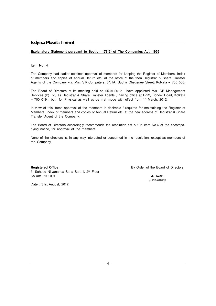#### **Explanatory Statement pursuant to Section 173(2) of The Companies Act, 1956**

#### **Item No. 4**

The Company had earlier obtained approval of members for keeping the Register of Members, Index of members and copies of Annual Return etc. at the office of the then Registrar & Share Transfer Agents of the Company viz. M/s. S.K.Computers, 34/1A, Sudhir Chetterjee Street, Kolkata – 700 006.

The Board of Directors at its meeting held on 05.01.2012 , have appointed M/s. CB Management Services (P) Ltd, as Registrar & Share Transfer Agents , having office at P-22, Bondel Road, Kolkata  $-700$  019, both for Physical as well as de mat mode with effect from 1<sup>st</sup> March, 2012.

In view of this, fresh approval of the members is desirable / required for maintaining the Register of Members, Index of members and copies of Annual Return etc. at the new address of Registrar & Share Transfer Agent of the Company.

The Board of Directors accordingly recommends the resolution set out in item No.4 of the accompanying notice, for approval of the members.

None of the directors is, in any way interested or concerned in the resolution, except as members of the Company.

3, Saheed Nityananda Saha Sarani, 2<sup>nd</sup> Floor Kolkata 700 001 **J.Tiwari**

**Registered Office:** By Order of the Board of Directors

(Chairman)

Date : 31st August, 2012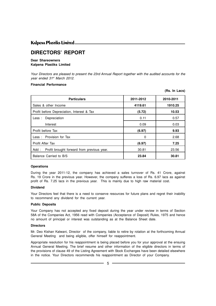#### **KALDENA PLASTIKS LIMITED.**

# **DIRECTORS' REPORT**

#### **Dear Shareowners Kalpena Plastiks Limited**

Your Directors are pleased to present the 23rd Annual Report together with the audited accounts for the year ended 31st March 2012.

**(Rs. In Lacs)**

#### **Financial Performance**

|                                                     |           | 11011120007 |
|-----------------------------------------------------|-----------|-------------|
| <b>Particulars</b>                                  | 2011-2012 | 2010-2011   |
| Sales & other Income                                | 4119.61   | 1910.25     |
| Profit before Depreciation, Interest & Tax          | (5.72)    | 10.53       |
| Depreciation<br>Les:                                | 0.11      | 0.57        |
| Interest                                            | 0.09      | 0.03        |
| Profit before Tax                                   | (6.97)    | 9.93        |
| Less: Provision for Tax                             | 0         | 2.68        |
| <b>Profit After Tax</b>                             | (6.97)    | 7.25        |
| Add :<br>Profit brought forward from previous year. | 30.81     | 23.56       |
| Balance Carried to B/S                              | 23.84     | 30.81       |

#### **Operations**

During the year 2011-12, the company has achieved a sales turnover of Rs. 41 Crore, against Rs. 19 Crore in the previous year. However, the company sufferes a loss of Rs. 6.97 lacs as against profit of Rs. 7.25 lacs in the previous year. This is mainly due to high raw material cost.

#### **Dividend**

Your Directors feel that there is a need to conserve resources for future plans and regret their inability to recommend any dividend for the current year.

#### **Public Deposits**

Your Company has not accepted any fixed deposit during the year under review in terms of Section 58A of the Companies Act, 1956 read with Companies (Acceptance of Deposit) Rules, 1975 and hence no amount of principal or interest was outstanding as at the Balance Sheet date.

#### **Directors**

Mr. Deo Kishan Kalwani, Director of the company, liable to retire by rotation at the forthcoming Annual General Meeting and being eligible, offer himself for reappointment.

Appropriate resolution for his reappointment is being placed before you for your approval at the ensuing Annual General Meeting. The brief resume and other information of the eligible directors in terms of the provisions of clause 49 of the Listing Agreement with Stock Exchanges have been detailed elsewhere in the notice. Your Directors recommends his reappointment as Director of your Company.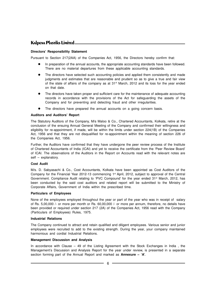#### **Directors' Responsibility Statement**

Pursuant to Section 217(2AA) of the Companies Act, 1956, the Directors hereby confirm that:

- In preparation of the annual accounts, the appropriate accounting standards have been followed. There are no material departures from these applicable accounting standards.
- The directors have selected such accounting policies and applied them consistently and made judgments and estimates that are reasonable and prudent so as to give a true and fair view of the state of affairs of the company as at 31<sup>st</sup> March, 2012 and its loss for the year ended on that date.
- The directors have taken proper and sufficient care for the maintenance of adequate accounting records in accordance with the provisions of the Act for safeguarding the assets of the Company and for preventing and detecting fraud and other irregularities.
- The directors have prepared the annual accounts on a going concern basis.

#### **Auditors and Auditors' Report**

The Statutory Auditors of the Company, M/s Maloo & Co., Chartered Accountants, Kolkata, retire at the conclusion of the ensuing Annual General Meeting of the Company and confirmed their willingness and eligibility for re-appointment, if made, will be within the limits under section 224(1B) of the Companies Act, 1956 and that they are not disqualified for re-appointment within the meaning of section 226 of the Companies Act, 1956.

Further, the Auditors have confirmed that they have undergone the peer review process of the Institute of Chartered Accountants of India (ICAI) and yet to receive the certificate from the 'Peer Review Board' of ICAI. The observations of the Auditors in the Report on Accounts read with the relevant notes are self – explanatory.

#### **Cost Audit**

M/s. D. Sabyasachi & Co., Cost Accountants, Kolkata have been appointed as Cost Auditors of the Company for the Financial Year 2012-13 commencing 1<sup>st</sup> April, 2012, subject to approval of the Central Government. Compliance Audit relating to 'PVC Compound' for the year ended 31<sup>st</sup> March, 2012, has been conducted by the said cost auditors and related report will be submitted to the Ministry of Corporate Affairs, Government of India within the prescribed time.

#### **Particulars of Employees**

None of the employees employed throughout the year or part of the year who was in receipt of salary of Rs. 5,00,000 /- or more per month or Rs. 60,00,000 /- or more per annum, therefore, no details have been provided or required under section 217 (2A) of the Companies Act, 1956 read with the Company (Particulars of Employees) Rules, 1975.

#### **Industrial Relations**

The Company continued to attract and retain qualified and diligent employees. Various senior and junior employees were recruited to add to the existing strength. During the year, your company maintained harmonious and cordial Industrial Relations.

#### **Management Discussion and Analysis**

In accordance with Clause  $-49$  of the Listing Agreement with the Stock Exchanges in India, the Management's Discussion and Analysis Report for the year under review, is presented in a separate section forming part of the Annual Report and marked as **Annexure – 'A'**.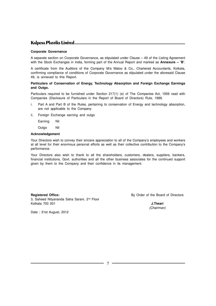#### **KALDENA PLASTIKS LIMITED.**

#### **Corporate Governance**

A separate section on Corporate Governance, as stipulated under Clause – 49 of the Listing Agreement with the Stock Exchanges in India, forming part of the Annual Report and marked as **Annexure – 'B'**.

A certificate from the Auditors of the Company M/s Maloo & Co., Chartered Accountants, Kolkata, confirming compliance of conditions of Corporate Governance as stipulated under the aforesaid Clause 49, is annexed to this Report.

#### **Particulars of Conservation of Energy, Technology Absorption and Foreign Exchange Earnings and Outgo.**

Particulars required to be furnished under Section 217(1) (e) of The Companies Act, 1956 read with Companies (Disclosure of Particulars in the Report of Board of Directors) Rule, 1988.

- i. Part A and Part B of the Rules, pertaining to conservation of Energy and technology absorption, are not applicable to the Company
- ii. Foreign Exchange earning and outgo

Earning Nil

Outgo Nil

#### **Acknowledgement**

Your Directors wish to convey their sincere appreciation to all of the Company's employees and workers at all level for their enormous personal efforts as well as their collective contribution to the Company's performance.

Your Directors also wish to thank to all the shareholders, customers, dealers, suppliers, bankers, financial institutions, Govt. authorities and all the other business associates for the continued support given by them to the Company and their confidence in its management.

3, Saheed Nityananda Saha Sarani, 2<sup>nd</sup> Floor Kolkata 700 001 **J.Tiwari**

**Registered Office: By Order of the Board of Directors** 

(Chairman)

Date : 31st August, 2012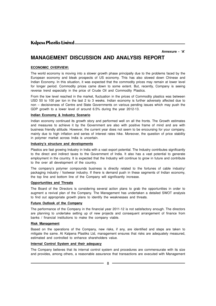**Annexure - 'A'**

### **MANAGEMENT DISCUSSION AND ANALYSIS REPORT**

#### **ECONOMIC OVERVIEW:**

The world economy is moving into a slower growth phase principally due to the problems faced by the European economy and bleak prospects of US economy. This has also slowed down Chinese and Indian Economy. In this situation, it was expected that the commodity prices may remain at lower level for longer period. Commodity prices came down to some extent. But, recently, Company is seeing reverse trend especially in the price of Crude Oil and Commodity Plastics.

From the low level reached in the market, fluctuation in the prices of Commodity plastics was between USD 50 to 100 per ton in the last 2 to 3 weeks. Indian economy is further adversely affected due to non – decisiveness of Centre and State Governments on various pending issues which may push the GDP growth to a lower level of around 6.5% during the year 2012-13.

#### **Indian Economy & Industry Scenario**

Indian economy continued its growth story and performed well on all the fronts. The Growth estimates and measures to achieve it by the Government are also with positive frame of mind and are with business friendly attitude. However, the current year does not seem to be encoursing for your company, mainly due to high inflation and series of interest rates hike. Moreover, the question of price stability in polymer market across India is uncertain.

#### **Industry's structure and developments**

Plastics are fast growing Industry in India with a vast export potential. The Industry contributes significantly to the direct and indirect taxes to the Government of India. It also has a vast potential to generate employment in the country. It is expected that the Industry will continue to grow in future and contribute to the over all development of the country.

The company's polymer compounds business is directly related to the fortunes of cable industry/ packaging industry / footwear industry. If there is demand push in these segments of Indian economy, the top line and bottom line of the Company will significantly increase.

#### **Opportunities and Threats**

The Board of the Directors is considering several action plans to grab the opportunities in order to augment a revival plan of the Company. The Management has undertaken a detailed SWOT analysis to find out appropriate growth plans to identify the weaknesses and threats.

#### **Future Outlook of the Company**

The performance of the Company in the financial year 2011-12 is not satisfactory enough. The directors are planning to undertake setting up of new projects and consequent arrangement of finance from banks / financial institutions to make the company viable.

#### **Risk Management**

Based on the operations of the Company, new risks, if any, are identified and steps are taken to mitigate the same. At Kalpena Plastiks Ltd, management ensures that risks are adequately measured, estimated and controlled to enhance shareholders value.

#### **Internal Control System and their adequacy**

The Company believes that its internal control system and procedures are commensurate with its size and provides, among others, a reasonable assurance that transactions are executed with Management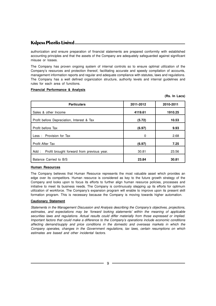authorization and ensure preparation of financial statements are prepared conformity with established accounting principles and that the assets of the Company are adequately safeguarded against significant misuse or losses.

The Company has proven ongoing system of internal controls so to ensure optimal utilization of the Company's resources and protection thereof, facilitating accurate and speedy compilation of accounts, management information reports and regular and adequate compliance with statutes, laws and regulations. The Company has a well defined organization structure, authority levels and internal guidelines and rules for each area of functions.

#### **Financial Performance & Analysis**

| <b>Particulars</b>                                  | 2011-2012 | 2010-2011 |
|-----------------------------------------------------|-----------|-----------|
| Sales & other Income                                | 4119.61   | 1910.25   |
| Profit before Depreciation, Interest & Tax          | (5.72)    | 10.53     |
| Profit before Tax                                   | (6.97)    | 9.93      |
| Less: Provision for Tax                             | 0         | 2.68      |
| Profit After Tax                                    | (6.97)    | 7.25      |
| Profit brought forward from previous year.<br>Add : | 30.81     | 23.56     |
| Balance Carried to B/S                              | 23.84     | 30.81     |

#### **(Rs. In Lacs)**

#### **Human Resources**

The Company believes that Human Resource represents the most valuable asset which provides an edge over its competitors. Human resource is considered as key to the future growth strategy of the Company and looks upon to focus its efforts to further align human resource policies, processes and initiative to meet its business needs. The Company is continuously stepping up its efforts for optimum utilization of workforce. The Company's expansion program will enable to improve upon its present skill formation program. This is necessary because the Company is moving towards higher automation.

#### **Cautionary Statement**

Statements in the Management Discussion and Analysis describing the Company's objectives, projections, estimates, and expectations may be 'forward looking statements' within the meaning of applicable securities laws and regulations. Actual results could differ materially from those expressed or implied. Important factors that could make a difference to the Company's operations include economic conditions affecting demand/supply and price conditions in the domestic and overseas markets in which the Company operates, changes in the Government regulations, tax laws, certain resumptions on which estimates are based and other incidental factors.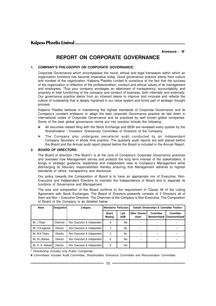**Annexure - 'B'**

# **REPORT ON CORPORATE GOVERNANCE**

#### **1. COMPANY'S PHILOSOPHY ON CORPORATE GOVERNANCE:**

Corporate Governance which encompasses the moral, ethical and legal framework within which an organization functions has become imperative today. Good governance practice stems from culture and mindset of the organization. Kalpena Plastiks Limited is conscious of the fact that the success of the organization is reflection of the professionalism, conduct and ethical values of its management and employees. Thus your company envisages an attainment of transparency, accountability, and propriety in total functioning of the company and conduct of business, both internally and externally. Our governance practice stems from an inherent desire to improve and innovate and reflects the culture of trusteeship that is deeply ingrained in our value system and forms part of strategic thought process.

Kalpena Plastiks believes in maintaining the highest standards of Corporate Governance and its Company's constant endeavor to adapt the best corporate Governance practice as laid down in international codes of Corporate Governance and as practiced by well known global companies. Some of the best global governance norms put into practice include the following:

- Ø All securities related filing with the Stock Exchange and SEBI are reviewed every quarter by the Shareholders' / Investors' Grievances Committee of Directors of the Company.
- Ø The Company also undergoes secretarial audit conducted by an Independent Company Secretary in whole time practice. The quarterly audit reports are well placed before the Board and the Annual audit report placed before the Board is included in the Annual Report.

#### **2. BOARD OF DIRECTORS:**

The Board of directors ("the Board") is at the core of Company's Corporate Governance practices and oversees how Management serves and protects the long term interest of the stakeholders. It brings in strategic guidance, leadership and independent view to Company's Management while discharging its fiduciary responsibilities thereby ensuring that Management adheres to highest standards of ethics, transparency and disclosure.

Our policy towards the Composition of Board is to have an appropriate mix of Executive, Non-Executive and Independent Directors to maintain the independence of Board and to separate its functions of Governance and Management.

The size and composition of the Board confirms to the requirement of Clause 49 of the Listing Agreement with Stock Exchanges. The Board of Directors presently consists of 5 Directors all of them are Non – Executive Directors. The Chairman of the Company is Non-Executive. The Composition of Board of the Company is as detailed below :

| Name              | <b>Designation</b> | Category                    | Attendance Particulars  |                    | <b>Outside Directorships &amp; Committee Position</b> |                           |                                    |
|-------------------|--------------------|-----------------------------|-------------------------|--------------------|-------------------------------------------------------|---------------------------|------------------------------------|
|                   |                    |                             | <b>Board</b><br>Meeting | Last<br><b>AGM</b> | <b>Other Director</b><br>ships*                       | Committee<br>Memberships# | <b>Committee</b><br>Chairmanships# |
| Mr. J.Tiwari      | Chairman           | Non Executive & Independent | 6                       | Yes                |                                                       |                           |                                    |
| Mr. K.N.Agarwal   | Director           | Non Executive & Independent | 2                       | No                 |                                                       |                           |                                    |
| Mr. M.K. Tiwary   | Director           | Non Executive & Independent | 2                       | No                 |                                                       |                           |                                    |
| Mr. B.L.Bohara    | Director           | Non Executive & Independent | 6                       | Yes                |                                                       |                           |                                    |
| Mr. D. K. Kalwani | Director           | Non Executive & Independent | 6                       | Yes                |                                                       |                           |                                    |

**\*** Directorship includes only Public Companies.

**#** Committees includes Audit Committee, Shareholders Grievance Committee and Remuneration Committee.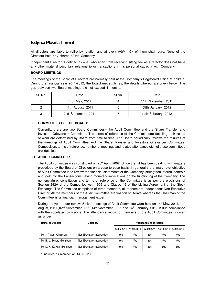All directors are liable to retire by rotation and at every AGM  $1/3$ <sup>rd</sup> of them shall retire. None of the Directors hold any shares of the Company.

Independent Director is defined as one, who apart from receiving sitting fee as a director does not have any other material pecuniary relationship or transactions in his personal capacity with Company.

#### **BOARD MEETINGS :**

The meetings of the Board of Directors are normally held at the Company's Registered Office at Kolkata. During the financial year 2011-2012, the Board met six times, the details whereof are given below. The gap between two Board meetings did not exceed 4 months.

| SI. No. | Date                | SI.No. | Date                |
|---------|---------------------|--------|---------------------|
|         | 14th May, 2011      |        | 14th November, 2011 |
|         | 11th August, 2011   | ა      | 05th January, 2012  |
|         | 2nd September, 2011 | 6      | 14th February, 2012 |

#### **3. COMMITTEES OF THE BOARD:**

Currently, there are two Board Committees– the Audit Committee and the Share Transfer and Investors Grievances Committee. The terms of reference of the Committee(s) detailing their scope of work are determined by Board from time to time. The Board periodically reviews the minutes of the meetings of Audit Committee and the Share Transfer and Investors Grievances Committee. Composition, terms of reference, number of meetings and related attendance etc., of these committees are detailed.

#### **3.1 AUDIT COMMITTEE:**

The Audit committee was constituted on 26<sup>th</sup> April, 2002. Since then it has been dealing with matters prescribed by the Board of Directors on a case to case basis. In general the primary role/ objective of Audit Committee is to review the financial statements of the Company, strengthen internal controls and look into the transactions having monetary implications on the functioning of the Company. The nomenclature, constitution and terms of reference of the Committee is as per the provisions of Section 292A of the Companies Act, 1956 and Clause 49 of the Listing Agreement of the Stock Exchange. The Committee comprises of three members, all of them are Independent Non Executive Director. All the members of the Audit Committee are financially literate whereas the Chairman of the Committee is a financial management expert.

During the year under review, 5 (five) meetings of Audit Committee were held on 14<sup>th</sup> May, 2011, 11<sup>th</sup> August, 2011, 02<sup>nd</sup> September, 2011, 14<sup>th</sup> November, 2011 and 14<sup>th</sup> February, 2012 in due compliance with the stipulated provisions. The attendance record of members of the Audit Committee is given as under:

| Name of Director           | Category                  | <b>Attendance of Directors</b> |     |                                      |     |     |
|----------------------------|---------------------------|--------------------------------|-----|--------------------------------------|-----|-----|
|                            |                           | 14.05.2011 11.08.2011          |     | 02.09.2011   14.11.2011   14.02.2012 |     |     |
| Mr. J. Tiwari (Chairman)   | Non-Executive Independent | Yes                            | Yes | Yes                                  | Yes | Yes |
| Mr. B. L. Bohara (Member)  | Non-Executive Independent | Yes                            | Yes | Yes                                  | Yes | Yes |
| Mr. D. K. Kalwani*(Member) | Non-Executive Independent | Yes                            | Yes | Yes                                  | Yes | Yes |

\* inducted as member on 14.05.2011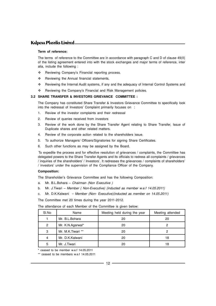#### **Term of reference:**

The terms of reference to the Committee are in accordance with paragraph C and D of clause 49(II) of the listing agreement entered into with the stock exchanges and major terms of reference, inter alia, include the following :

- \* Reviewing Company's Financial reporting process.
- $\div$  Reviewing the Annual financial statements.
- v Reviewing the Internal Audit systems, if any and the adequacy of Internal Control Systems and
- \* Reviewing the Company's Financial and Risk Management policies.

#### **3.2 SHARE TRANSFER & INVESTORS GRIEVANCE COMMITTEE :**

The Company has constituted Share Transfer & Investors Grievance Committee to specifically look into the redressal of Investors' Complaint primarily focuses on :

- 1. Review of the investor complaints and their redressal
- 2. Review of queries received from investors
- 3. Review of the work done by the Share Transfer Agent relating to Share Transfer, Issue of Duplicate shares and other related matters.
- 4. Review of the corporate action related to the shareholders issue.
- 5. To authorize Managers/ Officers/Signatories for signing Share Certificates.
- 6. Such other functions as may be assigned by the Board.

 To expedite the process and for effective resolution of grievances / complaints, the Committee has delegated powers to the Share Transfer Agents and its officials to redress all complaints / grievances / inquiries of the shareholders' / Investors'. It redresses the grievances / complaints of shareholders' / investors' under the supervision of the Compliance Officer of the Company.

#### **Composition:**

The Shareholder's Grievance Committee and has the following Composition:

- a. Mr. B.L.Bohara Chairman (Non Executive )
- b. Mr. J.Tiwari Member ( Non-Executive) (inducted as member w.e.f 14.05.2011)
- c. Mr. D.K.Kalwani Member (Non- Executive)(inducted as member on 14.05.2011)

The Committee met 20 times during the year 2011-2012.

The attendance of each Member of the Committee is given below:

| SI.No | Name              | Meeting held during the year | Meeting attended |
|-------|-------------------|------------------------------|------------------|
|       | Mr. B.L.Bohara    | 20                           | 20               |
| 2     | Mr. K.N.Agarwal*  | 20                           |                  |
| 3     | Mr. M.K.Tiwari ** | 20                           |                  |
| 4     | Mr. D.K.Kalwani   | 20                           | 18               |
| 5     | Mr. J.Tiwari      |                              | 18               |

\* ceased to be member w.e.f 14.05.2011

\*\* ceased to be members w.e.f 14.05.2011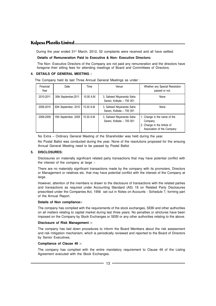During the year ended 31<sup>st</sup> March, 2012, 52 complaints were received and all have settled.

#### **Details of Remuneration Paid to Executive & Non- Executive Directors:**

The Non- Executive Directors of the Company are not paid any remuneration and the directors have foregone their sitting fees for attending meetings of Board and Committees of Directors.

#### **4. DETAILS OF GENERAL MEETING :**

The Company held its last Three Annual General Meetings as under :

| Financial<br>Year | Date                 | Time         | Venue                                                  | Whether any Special Resolution<br>passed or not.                                                     |
|-------------------|----------------------|--------------|--------------------------------------------------------|------------------------------------------------------------------------------------------------------|
| 2010-2011         | 30th September, 2011 | 10.00 A.M    | 3, Saheed Nityananda Saha<br>Sarani, Kolkata - 700 001 | None                                                                                                 |
| 2009-2010         | 30th September, 2010 | $10.30$ A.M. | 3, Saheed Nityananda Saha<br>Sarani, Kolkata - 700 001 | None                                                                                                 |
| 2008-2009         | 15th September, 2009 | 10.30 A.M.   | 3, Saheed Nityananda Saha<br>Sarani, Kolkata - 700 001 | 1. Change in the name of the<br>Company<br>2. Change in the Article of<br>Association of the Company |

No Extra – Ordinary General Meeting of the Shareholder was held during the year.

No Postal Ballot was conducted during the year. None of the resolutions proposed for the ensuing Annual General Meeting need to be passed by Postal Ballot.

#### **5. DISCLOSURES:**

Disclosures on materially significant related party transactions that may have potential conflict with the interest of the company at large :-

There are no materially significant transactions made by the company with its promoters, Directors or Management or relatives etc. that may have potential conflict with the interest of the Company at large.

However, attention of the members is drawn to the disclosure of transactions with the related parties and transactions as required under Accounting Standard (AS) 18 on Related Party Disclosures prescribed under the Companies Act, 1956 set out in Notes on Accounts - Schedule 7, forming part of the Annual Report.

#### **Details of Non compliance:-**

The company has complied with the requirements of the stock exchanges, SEBI and other authorities on all matters relating to capital market during last three years. No penalties or strictures have been imposed on the Company by Stock Exchanges or SEBI or any other authorities relating to the above.

#### **Disclosure of Risk Management :-**

The company has laid down procedures to inform the Board Members about the risk assessment and risk mitigation mechanism, which is periodically reviewed and reported to the Board of Directors by Senior Executives.

#### **Compliance of Clause 49 :-**

The company has complied with the entire mandatory requirement to Clause 49 of the Listing Agreement executed with the Stock Exchanges.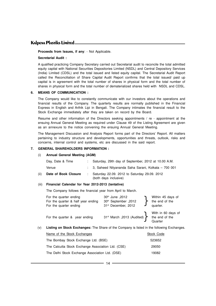#### **Proceeds from Issues, if any**: - Not Applicable.

#### **Secretarial Audit :**

A qualified practicing Company Secretary carried out Secretarial audit to reconcile the total admitted equity capital with National Securities Depositories Limited (NSDL) and Central Depository Services (India) Limited (CDSL) and the total issued and listed equity capital. The Secretarial Audit Report called the Reconciliation of Share Capital Audit Report confirms that the total issued/ paid up capital is in agreement with the total number of shares in physical form and the total number of shares in physical form and the total number of dematerialized shares held with NSDL and CDSL.

#### **6. MEANS OF COMMUNICATION :**

The Company would like to constantly communicate with our investors about the operations and financial results of the Company. The quarterly results are normally published in the Financial Express in English and Arthik Lipi in Bengali. The Company intimates the financial result to the Stock Exchange immediately after they are taken on record by the Board.

Resume and other information of the Directors seeking appointments / re - appointment at the ensuing Annual General Meeting as required under Clause 49 of the Listing Agreement are given as an annexure to the notice convening the ensuing Annual General Meeting.

The Management Discussion and Analysis Report forms part of the Directors' Report. All matters pertaining to industry structure and developments, opportunities and threats, outlook, risks and concerns, internal control and systems, etc are discussed in the said report.

#### **7. GENERAL SHAREHOLDERS INFORMATION :**

#### (i) **Annual General Meeting (AGM)**

|      | Day, Date & Time     | Saturday, 29th day of September, 2012 at 10.00 A.M.                   |
|------|----------------------|-----------------------------------------------------------------------|
|      | Venue                | : 3. Saheed Nityananda Saha Sarani, Kolkata – 700 001                 |
| (ii) | Date of Book Closure | Saturday 22.09. 2012 to Saturday 29.09. 2012<br>(both days inclusive) |

#### (iii) **Financial Calendar for Year 2012-2013 (tentative)**

The Company follows the financial year from April to March.

| For the quarter ending<br>For the quarter & half year ending<br>For the quarter ending | 30th June , 2012<br>30th September, 2012<br>31st December, 2012 | Within 45 days of<br>the end of the<br>quarter. |
|----------------------------------------------------------------------------------------|-----------------------------------------------------------------|-------------------------------------------------|
| For the quarter & year ending                                                          | 31 <sup>st</sup> March , 2013 (Audited) > the end of the        | With in 60 days of<br>Quarter                   |

(v) **Listing on Stock Exchanges:** The Share of the Company is listed in the following Exchanges.

| Name of the Stock Exchanges                        | Stock Code |
|----------------------------------------------------|------------|
| The Bombay Stock Exchange Ltd. (BSE)               | 523652     |
| The Calcutta Stock Exchange Association Ltd. (CSE) | 29050      |
| The Delhi Stock Exchange Association Ltd. (DSE)    | 19082      |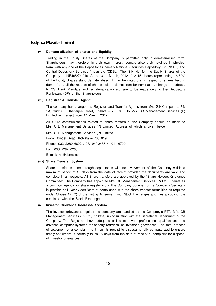#### (vi) **Dematerialization of shares and liquidity**:

Trading in the Equity Shares of the Company is permitted only in dematerialised form. Shareholders may therefore, in their own interest, dematerialise their holdings in physical form, with any one of the Depositories namely National Securities Depository Ltd (NSDL) and Central Depository Services (India) Ltd (CDSL). The ISIN No. for the Equity Shares of the Company is INE465K01016. As on 31st March, 2012, 912115 shares representing 16.50% of the Equity Shares stand dematerialised. It may be noted that in respect of shares held in demat from, all the request of shares held in demat from for nomination, change of address, NECS, Bank Mandate and rematerialisation etc. are to be made only to the Depository Participant (DP) of the Shareholders.

#### (vii) **Registrar & Transfer Agent**:

The company has changed its Registrar and Transfer Agents from M/s. S.K.Computers, 34/ 1A, Sudhir Chetterjee Street, Kolkata – 700 006, to M/s. CB Management Services (P) Limited with effect from 1<sup>st</sup> March, 2012.

All future communications related to share matters of the Company should be made to M/s. C B Management Services (P) Limited. Address of which is given below:

M/s. C B Management Services (P) Limited P-22- Bondel Road, Kolkata – 700 019 Phone: 033 2280 6692 / 93/ 94/ 2486 / 4011 6700 Fax: 033 2287 0263 E mail: rta@cbmsl.com

#### (viii) **Share Transfer System**:

Share transfer is done through depositories with no involvement of the Company within a maximum period of 15 days from the date of receipt provided the documents are valid and complete in all respects. All Share transfers are approved by the "Share Holders Grievance Committee". The Company has appointed M/s. CB Management Services (P) Ltd., Kolkata as a common agency for share registry work The Company obtains from a Company Secretary in practice half- yearly certificate of compliance with the share transfer formalities as required under Clause 47 (C) of the Listing Agreement with Stock Exchanges and files a copy of the certificate with the Stock Exchanges.

#### (ix) **Investor Grievance Redressal System.**

The investor grievances against the company are handled by the Company's RTA, M/s. CB Management Services (P) Ltd., Kolkata, in consultation with the Secretarial Department of the Company. The Registrars have adequate skilled staff with professional qualifications and advance computer systems for speedy redressal of investor's grievances. The total process of settlement of a complaint right from its receipt to disposal is fully computerized to ensure timely settlement. It normally takes 15 days from the date of receipt of complaint for disposal of investor grievances.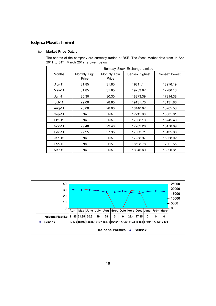### (x) **Market Price Data** :

|               |              |             | Bombay Stock Exchange Limited |               |
|---------------|--------------|-------------|-------------------------------|---------------|
| <b>Months</b> | Monthly High | Monthly Low | Sensex highest                | Sensex lowest |
|               | Price        | Price       |                               |               |
| Apr-11        | 31.85        | 31.85       | 19811.14                      | 18976.19      |
| May-11        | 31.85        | 31.85       | 19253.87                      | 17786.13      |
| $Jun-11$      | 30.30        | 30.30       | 18873.39                      | 17314.38      |
| $Jul-11$      | 29.00        | 28.80       | 19131.70                      | 18131.86      |
| Aug-11        | 28.00        | 28.00       | 18440.07                      | 15765.53      |
| Sep-11        | <b>NA</b>    | <b>NA</b>   | 17211.80                      | 15801.01      |
| $Oct-11$      | <b>NA</b>    | <b>NA</b>   | 17908.13                      | 15745.43      |
| <b>Nov-11</b> | 29.40        | 29.40       | 17702.26                      | 15478.69      |
| Dec-11        | 27.95        | 27.95       | 17003.71                      | 15135.86      |
| $Jan-12$      | <b>NA</b>    | <b>NA</b>   | 17258.97                      | 15358.02      |
| Feb-12        | <b>NA</b>    | <b>NA</b>   | 18523.78                      | 17061.55      |
| $Mar-12$      | <b>NA</b>    | <b>NA</b>   | 18040.69                      | 16920.61      |

The shares of the company are currently traded at BSE. The Stock Market data from 1<sup>st</sup> April 2011 to 31<sup>st</sup> March 2012 is given below:

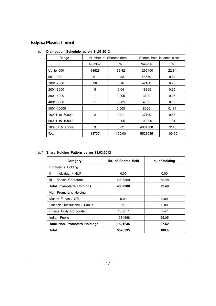| Range             | Number of Shareholders |        | Shares held in each class |        |  |
|-------------------|------------------------|--------|---------------------------|--------|--|
|                   | Number                 | ℅      | Number                    | ℅      |  |
| Up to $500$       | 18629                  | 99.42  | 1262400                   | 22.84  |  |
| 501-1000          | 61                     | 0.33   | 46550                     | 0.84   |  |
| 1001-2000         | 30                     | 0.16   | 42100                     | 0.76   |  |
| 2001-3000         | 8                      | 0.04   | 19955                     | 0.36   |  |
| 3001-4000         | 1                      | 0.005  | 3100                      | 0.06   |  |
| 4001-5000         |                        | 0.005  | 4950                      | 0.09   |  |
| 5001-10000        | 1                      | 0.005  | 8000                      | 0.14   |  |
| 10001 to 50000    | 2                      | 0.01   | 37100                     | 0.67   |  |
| 50001 to 100000   | 1                      | 0.005  | 100000                    | 1.81   |  |
| 100001<br>& above | 3                      | 0.02   | 4004380                   | 72.43  |  |
| Total             | 18737                  | 100.00 | 5528535                   | 100.00 |  |

#### (xi) **Distribution Schedule as on 31.03.2012**

#### (xii) **Share Holding Pattern as on 31.03.2012**

| Category                            | No. of Shares Held | % of holding |
|-------------------------------------|--------------------|--------------|
| Promoter's Holding                  |                    |              |
| Individual / HUF<br>i)              | 0.00               | 0.00         |
| ii)<br>Bodies Corporate             | 4007300            | 72.48        |
| <b>Total Promoter's Holdings</b>    | 4007300            | 72.48        |
| Non Promoter's Holding              |                    |              |
| Mutual Funds / UTI                  | 0.00               | 0.00         |
| Financial Institutions / Banks      | 50                 | 0.00         |
| Private Body Corporate              | 136617             | 2.47         |
| Indian Public                       | 1384568            | 25.05        |
| <b>Total Non Promoters Holdings</b> | 1521235            | 27.52        |
| Total                               | 5528535            | 100%         |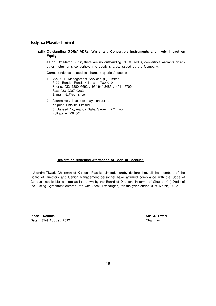**(xiii) Outstanding GDRs/ ADRs/ Warrants / Convertible Instruments and likely impact on Equity**

As on 31<sup>st</sup> March, 2012, there are no outstanding GDRs, ADRs, convertible warrants or any other instruments convertible into equity shares, issued by the Company.

Correspondence related to shares / queries/requests :

- 1. M/s. C B Management Services (P) Limited P-22- Bondel Road, Kolkata – 700 019 Phone: 033 2280 6692 / 93/ 94/ 2486 / 4011 6700 Fax: 033 2287 0263 E mail: rta@cbmsl.com
- 2. Alternatively investors may contact to; Kalpena Plastiks Limited, 3, Saheed Nityananda Saha Sarani, 2<sup>nd</sup> Floor Kolkata – 700 001

#### **Declaration regarding Affirmation of Code of Conduct.**

I Jitendra Tiwari, Chairman of Kalpena Plastiks Limited, hereby declare that, all the members of the Board of Directors and Senior Management personnel have affirmed compliance with the Code of Conduct, applicable to them as laid down by the Board of Directors in terms of Clause 49(I)(D))(ii) of the Listing Agreement entered into with Stock Exchanges, for the year ended 31st March, 2012.

**Place : Kolkata Sd/- J. Tiwari** Date : 31st August, 2012 **Chairman**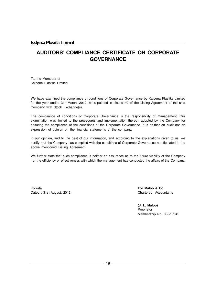# **AUDITORS' COMPLIANCE CERTIFICATE ON CORPORATE GOVERNANCE**

To, the Members of Kalpena Plastiks Limited

We have examined the compliance of conditions of Corporate Governance by Kalpena Plastiks Limited for the year ended 31<sup>st</sup> March, 2012, as stipulated in clause 49 of the Listing Agreement of the said Company with Stock Exchange(s).

The compliance of conditions of Corporate Governance is the responsibility of management. Our examination was limited to the procedures and implementation thereof, adopted by the Company for ensuring the compliance of the conditions of the Corporate Governance. It is neither an audit nor an expression of opinion on the financial statements of the company.

In our opinion, and to the best of our information, and according to the explanations given to us, we certify that the Company has complied with the conditions of Corporate Governance as stipulated in the above mentioned Listing Agreement.

We further state that such compliance is neither an assurance as to the future viability of the Company nor the efficiency or effectiveness with which the management has conducted the affairs of the Company.

Kolkata **For Maloo & Co** Dated : 31st August, 2012 **Chartered Accountants** 

**(J. L. Maloo)** Proprietor Membership No. 300/17649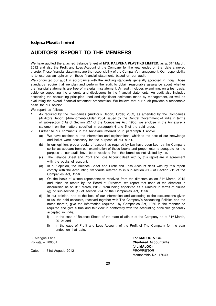# **AUDITORS' REPORT TO THE MEMBERS**

We have audited the attached Balance Sheet of **M/S. KALPENA PLASTIKS LIMITED.** as at 31<sup>st</sup> March, 2012 and also the Profit and Loss Account of the Company for the year ended on that date annexed thereto. These financial statements are the responsibility of the Company's management. Our responsibility is to express an opinion on these financial statements based on our audit.

We conducted our audit in accordance with the auditing standards generally accepted in India. Those standards require that we plan and perform the audit to obtain reasonable assurance about whether the financial statements are free of material misstatement. An audit includes examining, on a test basis, evidence supporting the amounts and disclosures in the financial statements. An audit also includes assessing the accounting principles used and significant estimates made by management, as well as evaluating the overall financial statement presentation. We believe that our audit provides a reasonable basis for our opinion.

We report as follows :

- 1. As required by the Companies (Auditor's Report) Order, 2003, as amended by the Companies (Auditors Report) (Amendment) Order, 2004 issued by the Central Government of India in terms of sub-section (4A) of Section 227 of the Companies Act, 1956, we enclose in the Annexure a statement on the matters specified in paragraph 4 and 5 of the said order.
- 2. Further to our comments in the Annexure referred to in paragraph 1 above :
	- (a) We have obtained all the information and explanations, which to the best of our knowledge and belief were necessary for the purpose of our audit.
	- (b) In our opinion, proper books of account as required by law have been kept by the Company so far as appears from our examination of those books and proper returns adequate for the purpose of our audit have been received from the branches not visited by us.
	- (c) The Balance Sheet and Profit and Loss Account dealt with by this report are in agreement with the books of account.
	- (d) In our opinion, the Balance Sheet and Profit and Loss Account dealt with by this report comply with the Accounting Standards referred to in sub-section (3C) of Section 211 of the Companies Act, 1956.
	- (e) On the basis of written representation received from the directors as on  $31<sup>st</sup>$  March, 2012 and taken on record by the Board of Directors, we report that none of the directors is disqualified as on 31st March, 2012 from being appointed as a Director in terms of clause (g) of sub-section (1) of section 274 of the Companies Act, 1956.
	- (f) In our opinion. and to the best of our information and according to the explanations given to us, the said accounts, received together with The Company's Accounting Policies and the notes thereto, give the information required by Companies Act, 1956 in the manner so required and give a true and fair view in conformity with the accounting principles generally accepted in India:
		- i) In the case of Balance Sheet, of the state of affairs of the Company as at  $31<sup>st</sup>$  March, 2012; and
		- ii) In the case of Profit and Loss Account, of the Profit of The Company for the year ended on that date.

Dated : 31st August, 2012 **PROPRIETOR** 

3, Mangoe Lane, **For MALOO & CO.** Kolkata – 700001 **Chartered Accountants. (J.L.MALOO)** Membership No. 17649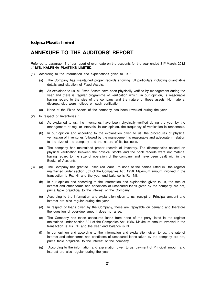## **ANNEXURE TO THE AUDITORS' REPORT**

Referred to paragraph 3 of our report of even date on the accounts for the year ended 31<sup>st</sup> March, 2012 of **M/S. KALPENA PLASTIKS LIMITED.**

- (1) According to the information and explanations given to us :
	- (a) The Company has maintained proper records showing full particulars including quantitative details and situation of Fixed Assets.
	- (b) As explained to us, all Fixed Assets have been physically verified by management during the year and there is regular programme of verification which, in our opinion, is reasonable having regard to the size of the company and the nature of those assets. No material discrepancies were noticed on such verification.
	- (c) None of the Fixed Assets of the company has been revalued during the year.
- (2) In respect of Inventories :
	- (a) As explained to us, the inventories have been physically verified during the year by the management at regular intervals. In our opinion, the frequency of verification is reasonable.
	- (b) In our opinion and according to the explanation given to us, the procedures of physical verification of inventories followed by the management is reasonable and adequate in relation to the size of the company and the nature of its business.
	- (c) The company has maintained proper records of inventory. The discrepancies noticed on physical verification between the physical stocks and the book records were not material having regard to the size of operation of the company and have been dealt with in the Books of Accounts.
- (3) (a) The Company has granted unsecured loans to none of the parties listed in the register maintained under section 301 of the Companies Act, 1956. Maximum amount involved in the transaction is Rs. Nil and the year end balance is Rs. Nil.
	- (b) In our opinion and according to the information and explanation given to us, the rate of interest and other terms and conditions of unsecured loans given by the company are not, prima facie prejudicial to the interest of the Company.
	- (c) According to the information and explanation given to us, receipt of Principal amount and interest are also regular during the year.
	- (d) In respect of loans given by the Company, these are repayable on demand and therefore the question of over-due amount does not arise.
	- (e) The Company has taken unsecured loans from none of the party listed in the register maintained under section 301 of the Companies Act, 1956. Maximum amount involved in the transaction is Rs. Nil and the year end balance is Nil.
	- (f) In our opinion and according to the information and explanation given to us, the rate of interest and other terms and conditions of unsecured loans taken by the company are not, prima facie prejudicial to the interest of the company.
	- (g) According to the information and explanation given to us, payment of Principal amount and interest are also regular during the year.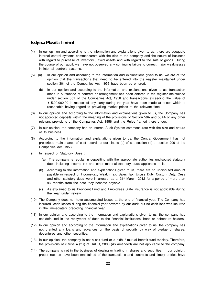- (4) In our opinion and according to the information and explanations given to us, there are adequate internal control systems commensurate with the size of the company and the nature of business with regard to purchase of inventory , fixed assets and with regard to the sale of goods. During the course of our audit, we have not observed any continuing failure to correct major weaknesses in internal controls systems.
- (5) (a) In our opinion and according to the information and explanations given to us, we are of the opinion that the transactions that need to be entered into the register maintained under section 301 of the Companies Act, 1956 have been so entered.
	- (b) In our opinion and according to the information and explanations given to us, transaction made in pursuance of contract or arrangement has been entered in the register maintained under section 301 of the Companies Act, 1956 and transactions exceeding the value of  $\bar{\tau}$  5,00,000.00 in respect of any party during the year have been made at prices which is reasonable having regard to prevailing market prices at the relevant time.
- (6) In our opinion and according to the information and explanations given to us, the Company has not accepted deposits within the meaning of the provisions of Section 58A and 58AA or any other relevant provisions of the Companies Act, 1956 and the Rules framed there under.
- (7) In our opinion, the company has an Internal Audit System commensurate with the size and nature of its business.
- (8) According to the information and explanations given to us, the Central Government has not prescribed maintenance of cost records under clause (d) of sub-section (1) of section 209 of the Companies Act, 1956.
- 9. In respect of Statutory Dues :
	- (a) The company is regular in depositing with the appropriate authorities undisputed statutory dues including Income tax and other material statutory dues applicable to it.
	- (b) According to the information and explanations given to us, there are no undisputed amount payable in respect of Income-tax, Wealth Tax, Sales Tax, Excise Duty, Custom Duty, Cess and other statutory dues were in arrears, as at 31<sup>st</sup> March, 2012 for a period of more than six months from the date they become payable.
	- (c) As explained to us Provident Fund and Employees State Insurance is not applicable during the year under review.
- (10) The Company does not have accumulated losses at the end of financial year. The Company has incurred cash losses during the financial year covered by our audit but no cash loss was incurred in the immediately preceding financial year.
- (11) In our opinion and according to the information and explanations given to us, the company has not defaulted in the repayment of dues to the financial institutions, bank or debenture holders.
- (12) In our opinion and according to the information and explanations given to us, the company has not granted any loans and advances on the basis of security by way of pledge of shares, debentures and other securities.
- (13) In our opinion, the company is not a chit fund or a nidhi / mutual benefit fund /society. Therefore, the provisions of clause 4 (xiii) of CARO, 2003 (As amended) are not applicable to the company.
- (14) The company is not in the business of dealing or trading in shares and securities. In our opinion, proper records have been maintained of the transactions and contracts and timely entries have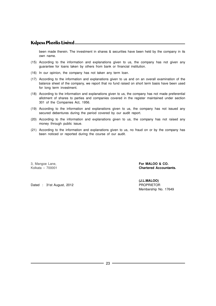been made therein. The investment in shares & securities have been held by the company in its own name.

- (15) According to the information and explanations given to us, the company has not given any guarantee for loans taken by others from bank or financial institution.
- (16) In our opinion, the company has not taken any term loan.
- (17) According to the information and explanations given to us and on an overall examination of the balance sheet of the company, we report that no fund raised on short term basis have been used for long term investment.
- (18) According to the information and explanations given to us, the company has not made preferential allotment of shares to parties and companies covered in the register maintained under section 301 of the Companies Act, 1956.
- (19) According to the information and explanations given to us, the company has not issued any secured debentures during the period covered by our audit report.
- (20) According to the information and explanations given to us, the company has not raised any money through public issue.
- (21) According to the information and explanations given to us, no fraud on or by the company has been noticed or reported during the course of our audit.

3, Mangoe Lane, **For MALOO & CO.**

Kolkata – 700001 **Chartered Accountants.**

Dated : 31st August, 2012 **PROPRIETOR** 

**(J.L.MALOO)** Membership No. 17649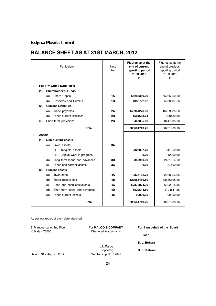# **BALANCE SHEET AS AT 31ST MARCH, 2012**

| Particulars |                                 |     |                                  | <b>Note</b><br><b>No</b> | Figures as at the<br>end of current<br>reporting period<br>31.03.2012<br>₹ | Figures as at the<br>end of previous<br>reporting period<br>31.03.2011<br>₹ |
|-------------|---------------------------------|-----|----------------------------------|--------------------------|----------------------------------------------------------------------------|-----------------------------------------------------------------------------|
| L.          |                                 |     | <b>EQUITY AND LIABILITIES</b>    |                          |                                                                            |                                                                             |
|             | (1)                             |     | <b>Shareholder's Funds</b>       |                          |                                                                            |                                                                             |
|             |                                 | (a) | Share Capital                    | 1А                       | 55285350.00                                                                | 55285350.00                                                                 |
|             |                                 | (b) | Reserves and Surplus             | 1B                       | 4382722.62                                                                 | 5080637.66                                                                  |
|             | (2)                             |     | <b>Current Liabilities</b>       |                          |                                                                            |                                                                             |
|             |                                 | (a) | Trade payables                   | 2Α                       | 140964278.00                                                               | 16229585.50                                                                 |
|             |                                 | (b) | Other current liabilities        | 2Β                       | 1581563.64                                                                 | 238180.00                                                                   |
|             | (c)                             |     | Short-term provisions            | 2C                       | 3447835.00                                                                 | 3447835.00                                                                  |
|             |                                 |     | <b>Total</b>                     |                          | 205661749.26                                                               | 80281588.16                                                                 |
| Ш.          | <b>Assets</b>                   |     |                                  |                          |                                                                            |                                                                             |
|             | (1)                             |     | Non-current assets               |                          |                                                                            |                                                                             |
|             |                                 | (a) | Fixed assets                     | 3A                       |                                                                            |                                                                             |
|             |                                 |     | Tangible assets<br>(i)           |                          | 2329807.20                                                                 | 841352.00                                                                   |
|             |                                 |     | (ii)<br>Capital work-in-progress |                          | 0.00                                                                       | 142200.00                                                                   |
|             |                                 | (b) | Long term loans and advances     | 3B                       | 340960.00                                                                  | 2431614.00                                                                  |
|             | Other non-current assets<br>(c) |     | 3C                               | 0.00                     | 34400.00                                                                   |                                                                             |
|             | (2)                             |     | <b>Current assets</b>            |                          |                                                                            |                                                                             |
|             |                                 | (a) | Inventories                      | 4Α                       | 19837782.76                                                                | 2208826.25                                                                  |
|             |                                 | (b) | Trade receivables                | 4Β                       | 123585480.50                                                               | 63886168.50                                                                 |
|             |                                 | (c) | Cash and cash equivalents        | 4C                       | 52878074.30                                                                | 6922215.55                                                                  |
|             |                                 | (d) | Short-term loans and advances    | 4D                       | 6629644.50                                                                 | 3724811.86                                                                  |
|             |                                 | (e) | Other current assets             | 4E                       | 60000.00                                                                   | 90000.00                                                                    |
|             |                                 |     | <b>Total</b>                     |                          | 205661749.26                                                               | 80281588.16                                                                 |

As per our report of even date attached

| 3, Mangoe Lane, 2nd Floor | For <b>MALOO &amp; COMPANY</b> | For & on behalf of the Board |  |  |
|---------------------------|--------------------------------|------------------------------|--|--|
| Kolkata - 700001          | <b>Chartered Accountants</b>   | J. Tiwari                    |  |  |
|                           |                                | B. L. Bohara                 |  |  |
|                           | J.L.Maloo<br>(Proprietor)      | D. K. Kalwani                |  |  |
| Dated: 31st August, 2012  | Membership No. 17649           |                              |  |  |
|                           | 24                             |                              |  |  |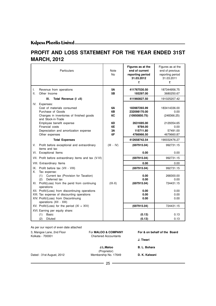# **PROFIT AND LOSS STATEMENT FOR THE YEAR ENDED 31ST MARCH, 2012**

| Particulars                                                                                                                                                                                                                                                                                                                                                                                                                                                               | Note<br>No.                            | Figures as at the<br>end of current<br>reporting period<br>31.03.2012<br>₹                        | Figures as at the<br>end of previous<br>reporting period<br>31.03.2011<br>₹              |
|---------------------------------------------------------------------------------------------------------------------------------------------------------------------------------------------------------------------------------------------------------------------------------------------------------------------------------------------------------------------------------------------------------------------------------------------------------------------------|----------------------------------------|---------------------------------------------------------------------------------------------------|------------------------------------------------------------------------------------------|
| I.<br>Revenue from operations<br>ΙΙ.<br>Other Income                                                                                                                                                                                                                                                                                                                                                                                                                      | 5Α<br>5B                               | 411767530.50<br>193297.00                                                                         | 187344956.75<br>3680250.67                                                               |
| Ш.<br>Total Revenue (I +II)                                                                                                                                                                                                                                                                                                                                                                                                                                               |                                        | 411960827.50                                                                                      | 191025207.42                                                                             |
| IV.<br>Expenses:<br>Cost of materials consumed<br>Purchase of Goods<br>Changes in inventories of finished goods<br>and Stock-in-Trade<br>Employee benefit expense<br>Financial costs<br>Depreciation and amortization expense<br>Other expenses                                                                                                                                                                                                                           | 6A<br>6B<br>6C<br>6D<br>6E<br>3A<br>6F | 183987265.99<br>232098170.00<br>(10950850.75)<br>2631695.00<br>9784.00<br>115711.80<br>4766966.50 | 183414336.00<br>0.00<br>(248366.25)<br>2129354.65<br>0.00<br>57491.00<br>4679660.87      |
| <b>Total Expenses</b>                                                                                                                                                                                                                                                                                                                                                                                                                                                     |                                        | 412658742.54                                                                                      | 190032476.27                                                                             |
| V.<br>Profit before exceptional and extraordinary<br>items and tax                                                                                                                                                                                                                                                                                                                                                                                                        | $(III - IV)$                           | (697915.04)                                                                                       | 992731.15                                                                                |
| VI. Exceptional Items                                                                                                                                                                                                                                                                                                                                                                                                                                                     |                                        | 0.00                                                                                              | 0.00                                                                                     |
| VII. Profit before extraordinary items and tax (V-VI)                                                                                                                                                                                                                                                                                                                                                                                                                     |                                        | (697915.04)                                                                                       | 992731.15                                                                                |
| VIII. Extraordinary Items                                                                                                                                                                                                                                                                                                                                                                                                                                                 |                                        | 0.00                                                                                              | 0.00                                                                                     |
| IX. Profit before tax (VII - VIII)<br>Х.<br>Tax expense:<br>Current tax (Provision for Taxation)<br>(1)<br>Deferred tax<br>(2)<br>XI. Profit(Loss) from the perid from continuing<br>operations<br>XII. Profit/(Loss) from discontinuing operations<br>XIII. Tax expense of discounting operations<br>XIV. Profit/(Loss) from Discontinuing<br>operations (XII - XIII)<br>XV. Profit/(Loss) for the period $(XI + XIV)$<br>XVI. Earning per equity share:<br>Basic<br>(1) | $(IX-X)$                               | (697915.04)<br>0.00<br>0.00<br>(697915.04)<br>0.00<br>0.00<br>0.00<br>(697915.04)<br>(0.13)       | 992731.15<br>268300.00<br>0.00<br>724431.15<br>0.00<br>0.00<br>0.00<br>724431.15<br>0.13 |
| (2)<br><b>Diluted</b>                                                                                                                                                                                                                                                                                                                                                                                                                                                     |                                        | (0.13)                                                                                            | 0.13                                                                                     |

As per our report of even date attached

3, Mangoe Lane, 2nd Floor **For MALOO & COMPANY** For & on behalf of the Board Kolkata - 700001 **Chartered Accountants** 

**J. Tiwari**

 **J.L.Maloo B. L. Bohara** (Proprietor) Dated : 31st August, 2012 Membership No. 17649 **D. K. Kalwani**  $-$  25  $-$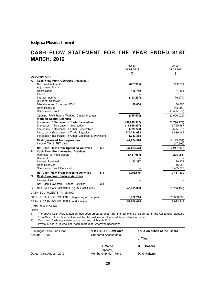# **CASH FLOW STATEMENT FOR THE YEAR ENDED 31ST MARCH, 2012**

|    |                                                              | As at         | As at             |
|----|--------------------------------------------------------------|---------------|-------------------|
|    |                                                              | 31.03.2012    | 31.03.2011        |
|    |                                                              | ₹             | ₹                 |
|    | <b>DESCRIPTION:</b>                                          |               |                   |
| А. | Cash Flow From Operating Activities :-                       |               |                   |
|    | Net Profit before tax                                        | (697, 915)    | 992,731           |
|    | Adjustment For :-                                            |               |                   |
|    | Depreciation<br>Interest                                     | 115,712       | 57,491            |
|    | Interest Income                                              | (193, 297)    | (179, 974)        |
|    | Dividend Received                                            |               |                   |
|    | Miscellaneous Expenses W/off                                 | 30,000        | 30,000            |
|    | Rent Received                                                |               | (45,000)          |
|    | Speculation Profit                                           |               | (3,455,277)       |
|    | Opening Profit before Working Capital changes                | (745, 500)    | (2,600,029)       |
|    | <b>Working Capital Changes</b>                               |               |                   |
|    | (Increases) / Decrease in Trade Receivables                  | (59,699,312)  | (27, 726, 174)    |
|    | (Increases) / Decrease in Inventories                        | (17,628,957)  | 9,795,587         |
|    | (Increases) / Decrease in Other Receivables                  | (779, 778)    | (505, 278)        |
|    | Increases / (Decrease) in Trade Payables                     | 124,734,692   | 3,836,141         |
|    | Increases / (Decrease) in Other Liabilities & Provisions     | 1,343,383     |                   |
|    | Cash generated from operations                               | 47,224,528    | (17, 199, 754)    |
|    | Income Tax & FBT paid                                        |               | (17,999)          |
|    | Net Cash Flow From Operating Activities<br>$A$ :             | 47,224,528    | (17, 217, 753)    |
| В. | Cash Flow From investing Activities :-                       |               |                   |
|    | Purchase of Fixed Assets                                     | (1,461,967)   | (228, 951)        |
|    | Dividend                                                     |               |                   |
|    | Interest Received<br><b>Rent Received</b>                    | 193,297       | 179,974<br>45,000 |
|    | Speculation Profit Received                                  |               | 3,455,277         |
|    | Net Cash Flow From Investing Activities<br>$B$ :             |               | 3,451,300         |
| C. | <b>Cash Flow from Finance Activities</b>                     | (1, 268, 670) |                   |
|    |                                                              |               |                   |
|    | Interest Paid<br>Net Cash Flow from Finance Activities<br>c: |               |                   |
|    |                                                              |               |                   |
| D. | NET INCREASE/(DECREASE) IN CASH AND                          | 45.955,858    | (13,766,453)      |
|    | CASH EQUIVALENTS (A)+(B)+(C)                                 |               |                   |
|    | CASH & CASH EQUIVALENTS, beginning of the year               | 6,922,216     | 20,688,668        |
|    | CASH & CASH EQUIVALENTS, end the year                        | 52,878,074    | 6,922,216         |
|    | (Refer note 2 below)                                         |               |                   |

NOTE:

1) The above Cash Flow Statement has been prepared under the "Indirect Method" as set out in the Accounting Standard-3 on Cash Flow Statement issued by the Institute of Chartered Accountants of India.

2) Cash and Cash equivalents as at the end of March,2012

3) Previous Year's figures has been regrouped wherever necessary.

| 3, Mangoe Lane, 2nd Floor<br>Kolkata - 700001 | For <b>MALOO &amp; COMPANY</b><br><b>Chartered Accountants</b> | For & on behalf of the Board |  |  |
|-----------------------------------------------|----------------------------------------------------------------|------------------------------|--|--|
|                                               |                                                                | J. Tiwari                    |  |  |
|                                               | J.L.Maloo<br>(Proprietor)                                      | B. L. Bohara                 |  |  |
| Dated: 31st August, 2012                      | Membership No. 17649                                           | D. K. Kalwani                |  |  |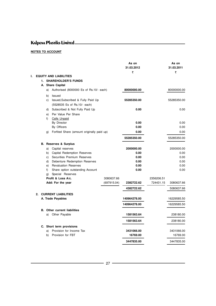### **NOTES TO ACCOUNT**

| ı.<br><b>EQUITY AND LIABILITIES</b><br>1. SHAREHOLDER'S FUNDS<br>A. Share Capital<br>Authorised (8000000 Es of Rs.10/- each)<br>80000000.00<br>a)<br>Issued<br>b)<br>Issued, Subscribed & Fully Paid Up<br>55285350.00<br>C)<br>(5528535 Es of Rs.10/- each)<br>Subscribed & Not Fully Paid Up<br>0.00<br>d)<br>Per Value Per Share<br>e)<br>f<br>Calls Unpaid<br>0.00<br>By Director<br>0.00<br>By Officers<br>0.00<br>Forfited Share (amount originally paid up)<br>g)<br>55285350.00<br><b>B. Reserves &amp; Surplus</b><br>2000000.00<br>Capital reserves<br>a)<br><b>Capital Redemption Reserves</b><br>b)<br>0.00<br>Securities Premium Reserves<br>0.00<br>C)<br>Debenture Redemption Reserves<br>0.00<br>d)<br><b>Revaluation Reserves</b><br>0.00<br>e)<br>0.00<br>f<br>Share option outstanding Account<br>g)<br>Special Reserves<br>Profit & Loss A/c.<br>3080637.66<br>2356206.51<br>Add: For the year<br>(697915.04)<br>2382722.62<br>724431.15<br>3080637.66<br>4382722.62<br>2. CURRENT LIABILITIES<br>A. Trade Payables<br>140964278.00<br>140964278.00<br><b>B.</b> Other current liabilities<br>1581563.64<br>a)<br>Other Payable<br>1581563.64 |  |                          | As on<br>31.03.2012<br>₹ | As on<br>31.03.2011<br>₹ |
|-------------------------------------------------------------------------------------------------------------------------------------------------------------------------------------------------------------------------------------------------------------------------------------------------------------------------------------------------------------------------------------------------------------------------------------------------------------------------------------------------------------------------------------------------------------------------------------------------------------------------------------------------------------------------------------------------------------------------------------------------------------------------------------------------------------------------------------------------------------------------------------------------------------------------------------------------------------------------------------------------------------------------------------------------------------------------------------------------------------------------------------------------------------------|--|--------------------------|--------------------------|--------------------------|
|                                                                                                                                                                                                                                                                                                                                                                                                                                                                                                                                                                                                                                                                                                                                                                                                                                                                                                                                                                                                                                                                                                                                                                   |  |                          |                          |                          |
|                                                                                                                                                                                                                                                                                                                                                                                                                                                                                                                                                                                                                                                                                                                                                                                                                                                                                                                                                                                                                                                                                                                                                                   |  |                          |                          |                          |
|                                                                                                                                                                                                                                                                                                                                                                                                                                                                                                                                                                                                                                                                                                                                                                                                                                                                                                                                                                                                                                                                                                                                                                   |  |                          |                          |                          |
|                                                                                                                                                                                                                                                                                                                                                                                                                                                                                                                                                                                                                                                                                                                                                                                                                                                                                                                                                                                                                                                                                                                                                                   |  |                          |                          | 80000000.00              |
|                                                                                                                                                                                                                                                                                                                                                                                                                                                                                                                                                                                                                                                                                                                                                                                                                                                                                                                                                                                                                                                                                                                                                                   |  |                          |                          |                          |
|                                                                                                                                                                                                                                                                                                                                                                                                                                                                                                                                                                                                                                                                                                                                                                                                                                                                                                                                                                                                                                                                                                                                                                   |  |                          |                          | 55285350.00              |
|                                                                                                                                                                                                                                                                                                                                                                                                                                                                                                                                                                                                                                                                                                                                                                                                                                                                                                                                                                                                                                                                                                                                                                   |  |                          |                          | 0.00                     |
|                                                                                                                                                                                                                                                                                                                                                                                                                                                                                                                                                                                                                                                                                                                                                                                                                                                                                                                                                                                                                                                                                                                                                                   |  |                          |                          |                          |
|                                                                                                                                                                                                                                                                                                                                                                                                                                                                                                                                                                                                                                                                                                                                                                                                                                                                                                                                                                                                                                                                                                                                                                   |  |                          |                          |                          |
|                                                                                                                                                                                                                                                                                                                                                                                                                                                                                                                                                                                                                                                                                                                                                                                                                                                                                                                                                                                                                                                                                                                                                                   |  |                          |                          | 0.00                     |
|                                                                                                                                                                                                                                                                                                                                                                                                                                                                                                                                                                                                                                                                                                                                                                                                                                                                                                                                                                                                                                                                                                                                                                   |  |                          |                          | 0.00                     |
|                                                                                                                                                                                                                                                                                                                                                                                                                                                                                                                                                                                                                                                                                                                                                                                                                                                                                                                                                                                                                                                                                                                                                                   |  |                          |                          | 0.00                     |
|                                                                                                                                                                                                                                                                                                                                                                                                                                                                                                                                                                                                                                                                                                                                                                                                                                                                                                                                                                                                                                                                                                                                                                   |  |                          |                          | 55285350.00              |
|                                                                                                                                                                                                                                                                                                                                                                                                                                                                                                                                                                                                                                                                                                                                                                                                                                                                                                                                                                                                                                                                                                                                                                   |  |                          |                          |                          |
|                                                                                                                                                                                                                                                                                                                                                                                                                                                                                                                                                                                                                                                                                                                                                                                                                                                                                                                                                                                                                                                                                                                                                                   |  |                          |                          | 2000000.00               |
|                                                                                                                                                                                                                                                                                                                                                                                                                                                                                                                                                                                                                                                                                                                                                                                                                                                                                                                                                                                                                                                                                                                                                                   |  |                          |                          | 0.00                     |
|                                                                                                                                                                                                                                                                                                                                                                                                                                                                                                                                                                                                                                                                                                                                                                                                                                                                                                                                                                                                                                                                                                                                                                   |  |                          |                          | 0.00                     |
|                                                                                                                                                                                                                                                                                                                                                                                                                                                                                                                                                                                                                                                                                                                                                                                                                                                                                                                                                                                                                                                                                                                                                                   |  |                          |                          | 0.00                     |
|                                                                                                                                                                                                                                                                                                                                                                                                                                                                                                                                                                                                                                                                                                                                                                                                                                                                                                                                                                                                                                                                                                                                                                   |  |                          |                          | 0.00                     |
|                                                                                                                                                                                                                                                                                                                                                                                                                                                                                                                                                                                                                                                                                                                                                                                                                                                                                                                                                                                                                                                                                                                                                                   |  |                          |                          | 0.00                     |
|                                                                                                                                                                                                                                                                                                                                                                                                                                                                                                                                                                                                                                                                                                                                                                                                                                                                                                                                                                                                                                                                                                                                                                   |  |                          |                          |                          |
|                                                                                                                                                                                                                                                                                                                                                                                                                                                                                                                                                                                                                                                                                                                                                                                                                                                                                                                                                                                                                                                                                                                                                                   |  |                          |                          |                          |
|                                                                                                                                                                                                                                                                                                                                                                                                                                                                                                                                                                                                                                                                                                                                                                                                                                                                                                                                                                                                                                                                                                                                                                   |  |                          |                          | 5080637.66               |
|                                                                                                                                                                                                                                                                                                                                                                                                                                                                                                                                                                                                                                                                                                                                                                                                                                                                                                                                                                                                                                                                                                                                                                   |  |                          |                          |                          |
|                                                                                                                                                                                                                                                                                                                                                                                                                                                                                                                                                                                                                                                                                                                                                                                                                                                                                                                                                                                                                                                                                                                                                                   |  |                          |                          | 16229585.50              |
|                                                                                                                                                                                                                                                                                                                                                                                                                                                                                                                                                                                                                                                                                                                                                                                                                                                                                                                                                                                                                                                                                                                                                                   |  |                          |                          | 16229585.50              |
|                                                                                                                                                                                                                                                                                                                                                                                                                                                                                                                                                                                                                                                                                                                                                                                                                                                                                                                                                                                                                                                                                                                                                                   |  |                          |                          |                          |
|                                                                                                                                                                                                                                                                                                                                                                                                                                                                                                                                                                                                                                                                                                                                                                                                                                                                                                                                                                                                                                                                                                                                                                   |  |                          |                          | 238180.00                |
|                                                                                                                                                                                                                                                                                                                                                                                                                                                                                                                                                                                                                                                                                                                                                                                                                                                                                                                                                                                                                                                                                                                                                                   |  |                          |                          | 238180.00                |
|                                                                                                                                                                                                                                                                                                                                                                                                                                                                                                                                                                                                                                                                                                                                                                                                                                                                                                                                                                                                                                                                                                                                                                   |  | C. Short term provisions |                          |                          |
| Provision for Income Tax<br>3431066.00<br>a)                                                                                                                                                                                                                                                                                                                                                                                                                                                                                                                                                                                                                                                                                                                                                                                                                                                                                                                                                                                                                                                                                                                      |  |                          |                          | 3431066.00               |
| Provision for FBT<br>16769.00<br>b)                                                                                                                                                                                                                                                                                                                                                                                                                                                                                                                                                                                                                                                                                                                                                                                                                                                                                                                                                                                                                                                                                                                               |  |                          |                          | 16769.00                 |
| 3447835.00                                                                                                                                                                                                                                                                                                                                                                                                                                                                                                                                                                                                                                                                                                                                                                                                                                                                                                                                                                                                                                                                                                                                                        |  |                          |                          | 3447835.00               |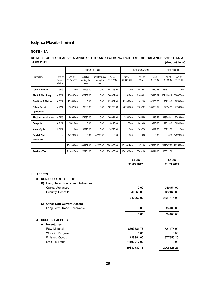### **NOTE - 3A**

#### **DETAILS OF FIXED ASSETS ANNEXED TO AND FORMING PART OF THE BALANCE SHEET AS AT 31.03.2012 (Amount in**  $\bar{\tau}$ **)**

|                                      |                              |                     |                                | <b>GROSS BLOCK</b>                   |                    | <b>DEPRECIATION</b> |                 |                  | NET BLOCK         |                   |
|--------------------------------------|------------------------------|---------------------|--------------------------------|--------------------------------------|--------------------|---------------------|-----------------|------------------|-------------------|-------------------|
| Particulars                          | Rate of<br>Depre-<br>ciation | As at<br>01.04.2011 | Addition<br>during the<br>Year | Transfer/Sales<br>during the<br>Year | As at<br>31.3.2012 | Upto<br>01.04.2011  | For The<br>Year | Upto<br>31.03.12 | As at<br>31.03.12 | As at<br>31.03.11 |
| Land & Building                      | 3.34%                        | 0.00                | 441453.00                      | 0.00                                 | 441453.00          | 0.00                | 8580.83         | 8580.83          | 432872.17         | 0.00              |
| Plant & Machinery                    | 4.75%                        | 738487.00           | 826202.00                      | 0.00                                 | 1564689.00         | 111612.00           | 61886.81        | 173498.81        | 1391190.19        | 626875.00         |
| <b>Furniture &amp; Fixture</b>       | 6.33%                        | 959589.00           | 0.00                           | 0.00                                 | 959589.00          | 931053.00           | 1812.60         | 932865.60        | 26723.40          | 28536.00          |
| <b>Office Electric</b><br>Appliances | 4.75%                        | 358875.00           | 23860.00                       | 0.00                                 | 382735.00          | 287343.00           | 17857.87        | 305200.87        | 77534.13          | 71532.00          |
| <b>Electrical Installation</b>       | 4.75%                        | 86099.00            | 273932.00                      | 0.00                                 | 360031.00          | 28630.00            | 12655.59        | 41285.59         | 318745.41         | 57469.00          |
| Computer                             | 16.21%                       | 58116.00            | 0.00                           | 0.00                                 | 58116.00           | 1176.00             | 9420.60         | 10596.60         | 47519.40          | 56940.00          |
| <b>Motor Cycle</b>                   | 9.50%                        | 0.00                | 38720.00                       | 0.00                                 | 38720.00           | 0.00                | 3497.50         | 3497.50          | 35222.50          | 0.00              |
| <b>Capital Work-</b><br>in-Progess   | ٠                            | 142200.00           | 0.00                           | 142200.00                            | 0.00               | 0.00                | 0.00            | 0.00             | 0.00              | 142200.00         |
|                                      |                              | 2343366.00          | 1604167.00                     | 142200.00                            | 3805333.00         | 1359814.00          | 115711.80       | 1475525.80       | 2329807.20        | 983552.00         |
| <b>Previous Year</b>                 |                              | 2114415.00          | 228951.00                      | 0.00                                 | 2343366.00         | 1302323.00          | 57491.00        | 1359814.00       | 983552.00         |                   |

|    |               |                                 | As on       | As on      |
|----|---------------|---------------------------------|-------------|------------|
|    |               |                                 | 31.03.2012  | 31.03.2011 |
|    |               |                                 | ₹           | ₹          |
| Ш. | <b>ASSETS</b> |                                 |             |            |
|    | 3             | <b>NON-CURRENT ASSETS</b>       |             |            |
|    | B)            | Long Term Loans and Advances    |             |            |
|    |               | Capital Advances                | 0.00        | 1949454.00 |
|    |               | Security Deposits               | 340960.00   | 482160.00  |
|    |               |                                 | 340960.00   | 2431614.00 |
|    | C)            | <b>Other Non-Current Assets</b> |             |            |
|    |               | Long Term Trade Receivable      | 0.00        | 34400.00   |
|    |               |                                 | 0.00        | 34400.00   |
|    | 4             | <b>CURRENT ASSETS</b>           |             |            |
|    |               | A. Inventories                  |             |            |
|    |               | Raw Materials                   | 8509581.76  | 1831476.00 |
|    |               | Work in Progress                | 0.00        | 0.00       |
|    |               | <b>Finished Goods</b>           | 128984.00   | 377350.25  |
|    |               | Stock in Trade                  | 11199217.00 | 0.00       |
|    |               |                                 | 19837782.76 | 2208826.25 |
|    |               |                                 |             |            |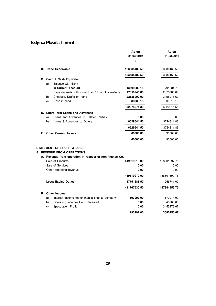|         |    |                                                                                                                                    | As on<br>31.03.2012<br>₹ | As on<br>31.03.2011<br>₹ |
|---------|----|------------------------------------------------------------------------------------------------------------------------------------|--------------------------|--------------------------|
|         |    | <b>B.</b> Trade Receivable                                                                                                         | 123585480.50             | 63886168.50              |
|         |    |                                                                                                                                    | 123585480.50             | 63886168.50              |
|         |    | C. Cash & Cash Equivalent                                                                                                          |                          |                          |
|         | a) | Balance with Bank                                                                                                                  |                          |                          |
|         |    | In Current Account                                                                                                                 | 13599288.15              | 791634.73                |
|         |    | Bank deposits with more than 12 months maturity                                                                                    | 17050945.00              | 2375086.00               |
|         | b) | Cheques, Drafts on hand                                                                                                            | 22138902.00              | 3455276.67               |
|         | C) | Cash-in-hand                                                                                                                       | 88939.15                 | 300218.15                |
|         |    |                                                                                                                                    | 52878074.30              | 6922215.55               |
|         |    | D. Short Term Loans and Advances                                                                                                   |                          |                          |
|         | a) | Loans and Advances to Related Parties                                                                                              | 0.00                     | 0.00                     |
|         | b) | Loans & Advances to Others                                                                                                         | 6629644.50               | 3724811.86               |
|         |    |                                                                                                                                    | 6629644.50               | 3724811.86               |
|         |    | <b>E.</b> Other Current Assets                                                                                                     | 60000.00                 | 90000.00                 |
|         |    |                                                                                                                                    | 60000.00                 | 90000.00                 |
| L.<br>5 |    | <b>STATEMENT OF PROFIT &amp; LOSS</b><br><b>REVENUE FROM OPERATIONS</b><br>A. Revenue from operation in respect of non-finance Co. |                          |                          |
|         |    | Sale of Products                                                                                                                   | 449519219.00             | 188601697.75             |
|         |    | Sale of Services                                                                                                                   | 0.00                     | 0.00                     |
|         |    | Other operating revenue                                                                                                            | 0.00                     | 0.00                     |
|         |    |                                                                                                                                    | 449519219.00             | 188601697.75             |
|         |    | <b>Less: Excise Duties</b>                                                                                                         | 37751688.50              | 1256741.00               |
|         |    |                                                                                                                                    | 411767530.50             | 187344956.75             |
|         |    | <b>B.</b> Other Income                                                                                                             |                          |                          |
|         | a) | Interest Income (other than a finance company)                                                                                     | 193297.00                | 179974.00                |
|         | b) | Operating income- Rent Received                                                                                                    | 0.00                     | 45000.00                 |
|         | C) | Speculation Profit                                                                                                                 | 0.00                     | 3455276.67               |
|         |    |                                                                                                                                    | 193297.00                | 3680250.67               |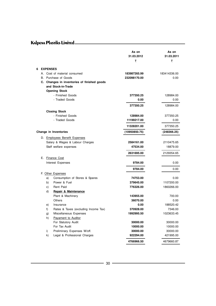|   |                                             | As on<br>31.03.2012<br>₹ | As on<br>31.03.2011<br>₹ |
|---|---------------------------------------------|--------------------------|--------------------------|
| 6 | <b>EXPENSES</b>                             |                          |                          |
|   | A. Cost of material consumed                | 183987265.99             | 183414336.00             |
|   | B. Purchase of Goods                        | 232098170.00             | 0.00                     |
|   | C. Changes in inventories of finished goods |                          |                          |
|   | and Stock-in-Trade                          |                          |                          |
|   | <b>Opening Stock</b>                        |                          |                          |
|   | - Finished Goods                            | 377350.25                | 128984.00                |
|   | - Traded Goods                              | 0.00                     | 0.00                     |
|   |                                             | 377350.25                | 128984.00                |
|   | <b>Closing Stock</b>                        |                          |                          |
|   | - Finished Goods                            | 128984.00                | 377350.25                |
|   | - Traded Goods                              | 11199217.00              | 0.00                     |
|   |                                             | 11328201.00              | 377350.25                |
|   | Change in Inventories                       | (10950850.75)            | (248366.25)              |
|   | D. Employees Benefit Expenses               |                          |                          |
|   | Salary & Wages & Labour Charges             | 2584161.00               | 2110475.65               |
|   | Staff welfare expenses                      | 47534.00                 | 18879.00                 |
|   |                                             | 2631695.00               | 2129354.65               |
|   | E. Finance Cost                             |                          |                          |
|   | Interest Expenses                           | 9784.00                  | 0.00                     |
|   |                                             | 9784.00                  | 0.00                     |
|   | F. Other Expenses                           |                          |                          |
|   | Consumption of Stores & Spares<br>a)        | 74753.00                 | 0.00                     |
|   | b)<br>Power & Fuel                          | 379645.00                | 1107200.00               |
|   | Rent Paid<br>c)                             | 776326.00                | 1860266.00               |
|   | d)<br>Repair & Maintenance                  |                          |                          |
|   | Plant & Machinery                           | 143955.00                | 700.00                   |
|   | Others                                      | 36070.00                 | 0.00                     |
|   | Insurance<br>e)                             | 0.00                     | 188520.42                |
|   | Rates & Taxes (excluding Income Tax)<br>f)  | 370928.00                | 7346.00                  |
|   | Miscellaneous Expenses<br>g)                | 1992995.50               | 1023633.45               |
|   | h)<br>Payament to Auditor                   |                          |                          |
|   | For Statutory Audit                         | 30000.00                 | 30000.00                 |
|   | For Tax Audit                               | 10000.00                 | 10000.00                 |
|   | Preliminary Expenses W/off.<br>i)           | 30000.00                 | 30000.00                 |
|   | Legal & Professional Charges<br>k)          | 922294.00                | 421995.00                |
|   |                                             | 4766966.50               | 4679660.87               |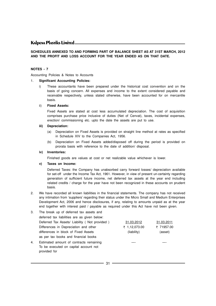#### **SCHEDULES ANNEXED TO AND FORMING PART OF BALANCE SHEET AS AT 31ST MARCH, 2012 AND THE PROFIT AND LOSS ACCOUNT FOR THE YEAR ENDED AS ON THAT DATE.**

#### **NOTES - 7**

Accounting Policies & Notes to Accounts

#### 1. **Significant Accounting Policies:**

i) These accountants have been prepared under the historical cost convention and on the basis of going concern. All expenses and income to the extent considered payable and receivable respectively, unless stated otherwise, have been accounted for on mercantile basis.

#### ii) **Fixed Assets:**

Fixed Assets are stated at cost less accumulated depreciation. The cost of acquisition comprises purchase price inclusive of duties (Net of Cenvat), taxes, incidental expenses, erection/ commissioning etc. upto the date the assets are put to use.

#### **iii) Depreciation:**

- (a) Depreciation on Fixed Assets is provided on straight line method at rates as specified in Schedule XIV to the Companies Act, 1956.
- (b) Depreciation on Fixed Assets added/disposed off during the period is provided on prorata basis with reference to the date of addition/ disposal.

#### **iv) Inventories:**

Finished goods are values at cost or net realizable value whichever is lower.

#### **v) Taxes on Income:**

Deferred Taxes: the Company has unabsorbed carry forward losses/ depreciation available for set-off under the Income Tax Act, 1961. However, in view of present un-certainty regarding generation of sufficient future income, net deferred tax assets at the year end including related credits / charge for the year have not been recognized in these accounts on prudent basis.

2. We have recorded all known liabilities in the financial statements. The company has not received any intimation from 'suppliers' regarding their status under the Micro Small and Medium Enterprises Development Act, 2006 and hence disclosures, if any, relating to amounts unpaid as at the year end together with interest paid / payable as required under this Act have not been given.

| 3. | The break up of deferred tax assets and       |               |            |
|----|-----------------------------------------------|---------------|------------|
|    | deferred tax liabilities are as given below:  |               |            |
|    | Deferred Tax Assets/ Liability (Not provided) | 31.03.2012    | 31.03.2011 |
|    | Differences in Depreciation and other         | ₹ 1,12,073.00 | ₹ 71957.00 |
|    | differences in block of Fixed Assets          | (liability)   | (asset)    |
|    | as per tax books and financial books          |               |            |
| 4. | Estimated amount of contracts remaining       |               |            |
|    | To be executed on capital account not         |               |            |
|    | provided for                                  |               |            |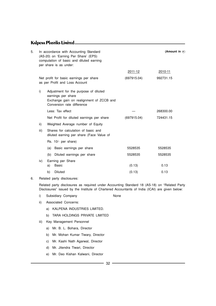| 5. |      | In accordance with Accounting Standard<br>(AS-20) on 'Earning Per Share' (EPS)<br>computation of basic and diluted earning<br>per share is as under: | (Amount in $\bar{z}$ ) |           |  |  |
|----|------|------------------------------------------------------------------------------------------------------------------------------------------------------|------------------------|-----------|--|--|
|    |      |                                                                                                                                                      | 2011-12                | 2010-11   |  |  |
|    |      | Net profit for basic earnings per share<br>as per Profit and Loss Account                                                                            | (697915.04)            | 992731.15 |  |  |
|    | i)   | Adjustment for the purpose of diluted<br>earnings per share<br>Exchange gain on realignment of ZCCB and<br>Conversion rate difference                |                        |           |  |  |
|    |      | Less: Tax effect                                                                                                                                     |                        | 268300.00 |  |  |
|    |      | Net Profit for diluted earnings per share                                                                                                            | (697915.04)            | 724431.15 |  |  |
|    | ii)  | Weighted Average number of Equity                                                                                                                    |                        |           |  |  |
|    | iii) | Shares for calculation of basic and<br>diluted earning per share (Face Value of                                                                      |                        |           |  |  |
|    |      | Rs. 10/- per share)                                                                                                                                  |                        |           |  |  |
|    |      | (a) Basic earnings per share                                                                                                                         | 5528535                | 5528535   |  |  |
|    |      | (b) Diluted earnings per share                                                                                                                       | 5528535                | 5528535   |  |  |
|    | iv)  | Earning per Share<br>a)<br><b>Basic</b>                                                                                                              | (0.13)                 | 0.13      |  |  |
|    |      | <b>Diluted</b><br>b)                                                                                                                                 | (0.13)                 | 0.13      |  |  |
|    |      |                                                                                                                                                      |                        |           |  |  |

<sup>6.</sup> Related party disclosures:

Related party disclosures as required under Accounting Standard 18 (AS-18) on "Related Party Disclosures" issued by the Institute of Chartered Accountants of India (ICAI) are given below:

- i) Subsidiary Company **None**
- ii) Associated Concerns:
	- a) KALPENA INDUSTRIES LIMITED.
	- b) TARA HOLDINGS PRIVATE LIMITED
- iii) Key Management Personnel
	- a) Mr. B. L. Bohara, Director
	- b) Mr. Mohan Kumar Tiwary, Director
	- c) Mr. Kashi Nath Agarwal, Director
	- d) Mr. Jitendra Tiwari, Director
	- e) Mr. Deo Kishan Kalwani, Director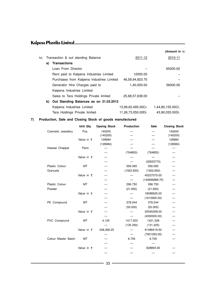|     |    |                                           |                    | (Amount in $\bar{z}$ ) |
|-----|----|-------------------------------------------|--------------------|------------------------|
| iv) |    | Transaction & out standing Balance        | 2011-12            | 2010-11                |
|     | a) | <b>Transactions</b>                       |                    |                        |
|     |    | Loan From Director                        |                    | 65000.00               |
|     |    | Rent paid to Kalpena Industries Limited   | 12000.00           |                        |
|     |    | Purchases from Kalpena Industries Limited | 46,59,94,823.75    |                        |
|     |    | Generator Hire Charges paid to            | 1,40,000.00        | 56000.00               |
|     |    | Kalpena Industries Limited                |                    |                        |
|     |    | Sales to Tara Holdings Private limited    | 25,68,57,638.00    |                        |
|     | b) | Out Standing Balances as on 31.03.2012    |                    |                        |
|     |    | Kalpena Industries Limited                | 13,99,62,495.00Cr. | 1,44,80,155.00Cr.      |
|     |    | Tara Holdings Private limited             | 11.26.73.050.00Dr. | 43,90,035.00Dr.        |

#### **7) Production, Sale and Closing Stock of goods manufactured**

|                     | Unit Qty.          | <b>Openig Stock</b> | <b>Production</b> | Sale           | <b>Closing Stock</b> |
|---------------------|--------------------|---------------------|-------------------|----------------|----------------------|
| Cosmetic Jewallery  | Pcs.               | 140200              |                   |                | 140200               |
|                     |                    | (140200)            |                   |                | (140200)             |
|                     | Value in $\bar{z}$ | 128984              |                   |                | 128984               |
|                     |                    | (128984)            |                   |                | (128984)             |
| Hawaai Chappal      | Pairs              |                     |                   |                |                      |
|                     |                    |                     | (764850)          | (764850)       |                      |
|                     | Value in $\bar{z}$ |                     |                   |                |                      |
|                     |                    |                     |                   | (32833770)     |                      |
| Plastic Colour      | МT                 |                     | 556.065           | 556.065        |                      |
| Granuels            |                    |                     | (1922.650)        | (1922.650)     |                      |
|                     | Value in $\bar{z}$ |                     |                   | 45227570.00    |                      |
|                     |                    |                     |                   | (140696968.75) |                      |
| Plastic Colour      | MT                 |                     | 296.750           | 296.750        |                      |
| Powder              |                    |                     | (21.650)          | (21.650)       |                      |
|                     | Value in $\bar{z}$ |                     |                   | 18098925.00    |                      |
|                     |                    |                     |                   | (1612925.00)   |                      |
| PE Compound         | МT                 |                     | 378.244           | 378.244        |                      |
|                     |                    |                     | (50.000)          | (50.000)       |                      |
|                     | Value in $\bar{z}$ |                     |                   | 32545308.00    |                      |
|                     |                    |                     |                   | (4300000.00)   | —                    |
| PVC Compound        | MT                 | 4.125               | 1417.203          | 1421.328       |                      |
|                     |                    |                     | (135.350)         | (131.225)      |                      |
|                     | Value in $\bar{z}$ | 248,366.25          |                   | 91486419.50    |                      |
|                     |                    |                     |                   | (7901293.00)   |                      |
| Colour Master Batch | МT                 |                     | 6.745             | 6.745          |                      |
|                     |                    |                     |                   |                |                      |
|                     | Value in $\bar{z}$ |                     |                   | 628893.00      |                      |
|                     |                    |                     |                   |                |                      |
|                     |                    |                     |                   |                |                      |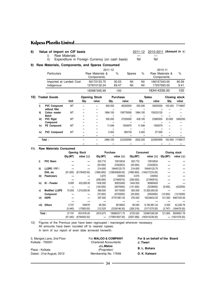#### 8) Value of import on CIF basis

2011-12 2010-2011 (Amount in ₹)

i) Raw Materials<br>ii) Expenditure in Foreign Currency (on cash basis) Nil Nil Nil Expenditure in Foreign Currency (on cash basis)

### **9) Raw Materials, Components, and Spares Consumed**

|     |      |                                       |                         |                             |                               | 2011-12        |                 |               |                             | 2010-11                       |         |                      |
|-----|------|---------------------------------------|-------------------------|-----------------------------|-------------------------------|----------------|-----------------|---------------|-----------------------------|-------------------------------|---------|----------------------|
|     |      | <b>Particulars</b>                    |                         |                             | Raw Materials &<br>Components |                | $\%$            | <b>Spares</b> | $\%$                        | Raw Materials &<br>Components |         | $\%$                 |
|     |      | Indigenous                            | Imported at Landed Cost | 56172133.75<br>127815132.24 |                               | 30.53<br>69.47 | Nil<br>Nil      | Nil<br>Nil    | 166157243.00<br>17257093.00 | 90.59<br>9.41                 |         |                      |
|     |      |                                       |                         |                             | 183987265.99                  |                | 100             |               |                             | 183414336.00                  |         | 100                  |
| 10) |      | <b>Traded Goods</b>                   |                         |                             | <b>Opening Stock</b>          |                | <b>Purchase</b> |               |                             | <b>Sales</b>                  |         | <b>Closing stock</b> |
|     |      |                                       | <b>Unit</b>             | Qty.                        | value                         | Qty.           |                 | value         | Qty.                        | value                         | Qty.    | value                |
|     | i)   | <b>PVC Compound</b><br>without filler | MT                      |                             |                               | 600.000        |                 | 46300000      | 500.000                     | 39000000                      | 100.000 | 7716667              |
|     | ii)  | Colour master                         | MT                      |                             |                               | 1884.100       |                 | 158776595     | 1884.100                    | 159332120                     |         |                      |
|     | iii) | <b>Batch</b><br><b>PVC Rigid</b>      | MT                      |                             |                               | 500.000        |                 | 27250000      | 436.100                     | 23985500                      | 63.900  | 3482550              |
|     | iv)  | Compound<br>PE Compound               | MT                      |                             |                               | 11.546         |                 | 1004970       | 11.546                      | 1005079                       |         |                      |
|     | iv)  | <b>PVC Compound</b>                   | MT                      |                             |                               | 5.402          |                 | 369150        | 5.402                       | 371300                        |         |                      |
|     |      |                                       |                         |                             |                               |                |                 |               |                             |                               |         |                      |
|     |      | Total:                                |                         |                             |                               | 2984.100       |                 | 232326595     | 2820.200                    | 223693999                     | 163.900 | 11199217             |
|     |      |                                       |                         |                             |                               |                |                 |               |                             |                               |         |                      |

#### **11) Raw Materials Consumed**

|        |                       |          | <b>Opening Stock</b> |            | Purchase          |            | Consumed          |          | <b>Closing stock</b> |
|--------|-----------------------|----------|----------------------|------------|-------------------|------------|-------------------|----------|----------------------|
|        |                       | Qty.(MT) | value $(\bar{z})$    | Qty (MT)   | value $(\bar{z})$ | Qty.(MT)   | value $(\bar{z})$ | Qty.(MT) | value $(\bar{z})$    |
| i)     | <b>PVC Resin</b>      |          |                      | 303.710    | 15910634          | 303.710    | 15910634          |          |                      |
|        |                       |          |                      | (55.000)   | (3342823)         | (55.000)   | (3342823)         |          |                      |
| ii)    | LLDPE $/$ P.P $/$     |          |                      | 214.600    | 16440125.75       | 214.600    | 16440125.75       |          |                      |
|        | EVA, etc              | (91.000) | (6176405.00)         | (1890.850) | (138040828.00)    | (1890.850) | (144217233.00)    |          |                      |
| iii)   | <b>Plasticizers</b>   |          |                      | 3.670      | 330593            | 3.670      | 330593            |          |                      |
|        |                       |          |                      | (256.000)  | (21940010)        | (256.000)  | (21940010)        |          |                      |
| iv)    | Ki - Powder           | 9.000    | 432,000.00           | 1436.500   | 90553400          | 1445.500   | 90985400          |          |                      |
|        |                       |          |                      | (140.000)  | (5670000)         | (131.000)  | (5238000)         | (9.000)  | (432000)             |
| V)     | <b>Modified LLDPE</b> | 15.000   | 1,215,000.00         | 368,000    | 30710000          | 383.000    | 31,925,000.00     |          |                      |
|        | Compound              |          |                      | (70.000)   | (6720000)         | (55.000)   | (5505000)         | (15.000) | (1215000)            |
| vi)    | <b>HDPE</b>           |          |                      | 397.500    | 27701967.00       | 276.000    | 19234632.00       | 121.500  | 8467335.00           |
|        |                       |          |                      |            |                   |            |                   |          |                      |
| vii)   | <b>Others</b>         | 3.747    | 184476               | 95.593     | 9018652           | 99.040     | 9,160,881.24      | 0.300    | 42,246.76            |
|        |                       | (0.440)  | (17600.00)           | 212.525    | (3338146.00)      | (209.218)  | (3171270.00)      | (3.747)  | (184476.00)          |
| Total: |                       | 27.747   | 1831476.00           | 2819.573   | 190665371.75      | 2725.520   | 183987265.99      | 121.800  | 8509581.76           |
|        |                       | (91.440) | (6194005.00)         |            | (179051807.00)    | (2597.068) | (183414336.00)    |          | $-$ (1831476.00)     |

12) Figures of the Previous year have been regrouped / rearranged wherever necessary. All amounts have been rounded off to nearest rupees. In term of our report of even date annexed herewith.

| 3, Mangoe Lane, 2nd Floor | For <b>MALOO &amp; COMPANY</b> | For & on behalf of the Board |
|---------------------------|--------------------------------|------------------------------|
| Kolkata - 700001          | <b>Chartered Accountants</b>   | J. Tiwari                    |
|                           | J.L.Maloo                      | B. L. Bohara                 |
| Place: Kolkata            | (Proprietor)                   |                              |
| Dated: 31st August, 2012  | Membership No. 17649           | D. K. Kalwani                |
|                           |                                |                              |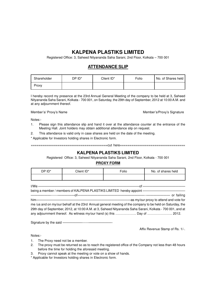### **KALPENA PLASTIKS LIMITED**

Registered Office: 3, Saheed Nityananda Saha Sarani, 2nd Floor, Kolkata – 700 001

### **ATTENDANCE SLIP**

| Shareholder | DP ID* | Client ID* | Folio | No. of Shares held |
|-------------|--------|------------|-------|--------------------|
| Proxv       |        |            |       |                    |

I hereby record my presence at the 23rd Annual General Meeting of the company to be held at 3, Saheed Nityananda Saha Sarani, Kolkata - 700 001, on Saturday, the 29th day of September, 2012 at 10:00 A.M. and at any adjournment thereof.

Member's/ Proxy's Name Member's/ Proxy's Signature

Notes:-

- 1. Please sign this attendance slip and hand it over at the attendance counter at the entrance of the Meeting Hall. Joint holders may obtain additional attendance slip on request.
- 2. This attendance is valid only in case shares are held on the date of the meeting.
- \* Applicable for Investors holding shares in Electronic form.

========================================cut here==================================

#### **KALPENA PLASTIKS LIMITED**

Registered Office: 3, Saheed Nityananda Saha Sarani, 2nd Floor, Kolkata - 700 001

#### **PROXY FORM**

| DP ID* | Client ID* | Folio | No. of shares held |
|--------|------------|-------|--------------------|
|        |            |       |                    |

I/We ———————————————————————————————of —————————————

being a member / members of KALPENA PLASTIKS LIMITED hereby appoint -

| $him$ —                                                                                                   | -as my/our proxy to attend and vote for |
|-----------------------------------------------------------------------------------------------------------|-----------------------------------------|
| me /us and on my/our behalf at the 23rd Annual general meeting of the company to be held on Saturday, the |                                         |
| 29th day of September, 2012, at 10:00 A.M. at 3, Saheed Nityananda Saha Sarani, Kolkata - 700 001, and at |                                         |
|                                                                                                           |                                         |

Signature by the said ——————------———————-

Affix Revenue Stamp of Rs. 1/-.

Notes:-

- 1. The Proxy need not be a member.
- 2. The proxy must be returned so as to reach the registered office of the Company not less than 48 hours before the time for holding the aforesaid meeting.
- 3. Proxy cannot speak at the meeting or vote on a show of hands.

\* Applicable for Investors holding shares in Electronic form.